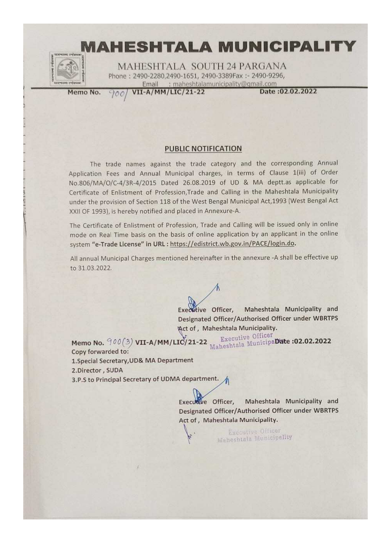

MAHESHTALA SOUTH 24 PARGANA Phone: 2490-2280.2490-1651, 2490-3389Fax: - 2490-9296, Email : maheshtalamunicipality@qmail.com

Memo No.

VII-A/MM/LIC/21-22 700

Date: 02.02.2022

## **PUBLIC NOTIFICATION**

The trade names against the trade category and the corresponding Annual Application Fees and Annual Municipal charges, in terms of Clause 1(iii) of Order No.806/MA/O/C-4/3R-4/2015 Dated 26.08.2019 of UD & MA deptt.as applicable for Certificate of Enlistment of Profession, Trade and Calling in the Maheshtala Municipality under the provision of Section 118 of the West Bengal Municipal Act, 1993 (West Bengal Act XXII OF 1993), is hereby notified and placed in Annexure-A.

The Certificate of Enlistment of Profession, Trade and Calling will be issued only in online mode on Real Time basis on the basis of online application by an applicant in the online system "e-Trade License" in URL : https://edistrict.wb.gov.in/PACE/login.do.

All annual Municipal Charges mentioned hereinafter in the annexure -A shall be effective up to 31.03.2022.

> Executive Officer, Maheshtala Municipality and Designated Officer/Authorised Officer under WBRTPS Mct of, Maheshtala Municipality.

Executive Officer Maheshtala MunicipaDate :02.02.2022 Memo No. 900(3) VII-A/MM/LIC/21-22 Copy forwarded to: 1. Special Secretary, UD& MA Department 2.Director, SUDA

3.P.S to Principal Secretary of UDMA department.

Executive Officer, Maheshtala Municipality and Designated Officer/Authorised Officer under WBRTPS Act of, Maheshtala Municipality.

Executive Officer Maheshtala Municipality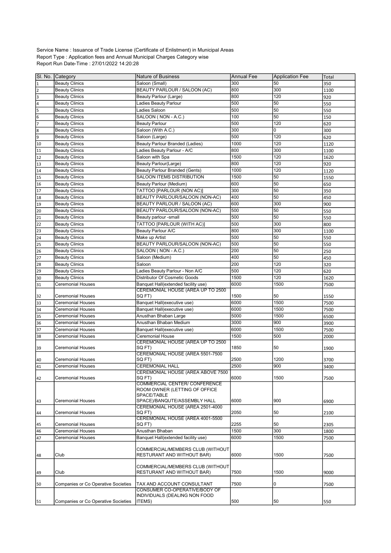Service Name : Issuance of Trade License (Certificate of Enlistment) in Municipal Areas Report Type : Application fees and Annual Municipal Charges Category wise Report Run Date-Time : 27/01/2022 14:20:28

|                          | SI. No. Category                               | <b>Nature of Business</b>                                        | <b>Annual Fee</b> | Application Fee | Total |
|--------------------------|------------------------------------------------|------------------------------------------------------------------|-------------------|-----------------|-------|
| $\vert$ 1                | <b>Beauty Clinics</b>                          | Saloon (Small)                                                   | 300               | 50              | 350   |
| $\sqrt{2}$               | <b>Beauty Clinics</b>                          | BEAUTY PARLOUR / SALOON (AC)                                     | 800               | 300             | 1100  |
| $\overline{\mathsf{s}}$  | <b>Beauty Clinics</b>                          | Beauty Parlour (Large)                                           | 800               | 120             | 920   |
| $\overline{4}$           | <b>Beauty Clinics</b>                          | Ladies Beauty Parlour                                            | 500               | 50              | 550   |
| 5                        | <b>Beauty Clinics</b>                          | Ladies Saloon                                                    | 500               | 50              | 550   |
| 6                        | <b>Beauty Clinics</b>                          | SALOON (NON - A.C.)                                              | 100               | 50              | 150   |
| 17                       | <b>Beauty Clinics</b>                          | <b>Beauty Parlour</b>                                            | 500               | 120             | 620   |
| $\overline{\mathbf{18}}$ | <b>Beauty Clinics</b>                          | Saloon (With A.C.)                                               | 300               | 0               | 300   |
| 9                        | <b>Beauty Clinics</b>                          | Saloon (Large)                                                   | 500               | 120             | 620   |
| $\overline{10}$          | <b>Beauty Clinics</b>                          | Beauty Parlour Branded (Ladies)                                  | 1000              | 120             | 1120  |
| 11                       | <b>Beauty Clinics</b>                          | Ladies Beauty Parlour - A/C                                      | 800               | 300             | 1100  |
| 12                       | <b>Beauty Clinics</b>                          | Saloon with Spa                                                  | 1500              | 120             | 1620  |
| 13                       | <b>Beauty Clinics</b>                          | Beauty Parlour(Large)                                            | 800               | 120             | 920   |
| 14                       | <b>Beauty Clinics</b>                          | <b>Beauty Parlour Branded (Gents)</b>                            | 1000              | 120             | 1120  |
| 15                       | <b>Beauty Clinics</b>                          | <b>SALOON ITEMS DISTRIBUTION</b>                                 | 1500              | 50              | 1550  |
| 16                       | <b>Beauty Clinics</b>                          | Beauty Parlour (Medium)                                          | 600               | 50              | 650   |
| 17                       | <b>Beauty Clinics</b>                          | TATTOO [PARLOUR (NON AC)]                                        | 300               | 50              | 350   |
| 18                       | <b>Beauty Clinics</b>                          | BEAUTY PARLOUR/SALOON (NON-AC)                                   | 400               | 50              | 450   |
| 19                       | <b>Beauty Clinics</b>                          | BEAUTY PARLOUR / SALOON (AC)                                     | 600               | 300             | 900   |
| 20                       | <b>Beauty Clinics</b>                          | BEAUTY PARLOUR/SALOON (NON-AC)                                   | 500               | 50              | 550   |
| 21                       | <b>Beauty Clinics</b><br><b>Beauty Clinics</b> | Beauty parlour -small                                            | 500               | 50<br>300       | 550   |
| 22                       |                                                | TATTOO [PARLOUR (WITH AC)]                                       | 500               |                 | 800   |
| 23                       | <b>Beauty Clinics</b>                          | Beauty Parlour A/C                                               | 800               | 300             | 1100  |
| 24                       | <b>Beauty Clinics</b>                          | Make up Artist                                                   | 500               | 50<br>50        | 550   |
| 25<br>26                 | <b>Beauty Clinics</b>                          | BEAUTY PARLOUR/SALOON (NON-AC)<br>SALOON (NON - A.C.)            | 500<br>200        | 50              | 550   |
|                          | <b>Beauty Clinics</b>                          |                                                                  | 400               | 50              | 250   |
| 27                       | <b>Beauty Clinics</b>                          | Saloon (Medium)<br>Saloon                                        | 200               | 120             | 450   |
| 28                       | <b>Beauty Clinics</b>                          | Ladies Beauty Parlour - Non A/C                                  | 500               | 120             | 320   |
| 29<br>30                 | <b>Beauty Clinics</b><br><b>Beauty Clinics</b> | Distributor Of Cosmetic Goods                                    | 1500              | 120             | 620   |
| 31                       | <b>Ceremonial Houses</b>                       | Banquet Hall(extended facility use)                              | 6000              | 1500            | 1620  |
|                          |                                                | CEREMONIAL HOUSE (AREA UP TO 2500                                |                   |                 | 7500  |
| 32                       | Ceremonial Houses                              | SQ FT)                                                           | 1500              | 50              | 1550  |
| 33                       | <b>Ceremonial Houses</b>                       | Banquet Hall(executive use)                                      | 6000              | 1500            | 7500  |
| 34                       | <b>Ceremonial Houses</b>                       | Banquet Hall(executive use)                                      | 6000              | 1500            | 7500  |
| 35                       | <b>Ceremonial Houses</b>                       | Anusthan Bhaban Large                                            | 5000              | 1500            | 6500  |
| 36                       | <b>Ceremonial Houses</b>                       | Anusthan Bhaban Medium                                           | 3000              | 900             | 3900  |
| 37                       | <b>Ceremonial Houses</b>                       | Banquet Hall(executive use)                                      | 6000              | 1500            | 7500  |
| 38                       | <b>Ceremonial Houses</b>                       | Ceremonial House                                                 | 1500              | 500             | 2000  |
|                          |                                                | CEREMONIAL HOUSE (AREA UP TO 2500                                |                   |                 |       |
| 39                       | <b>Ceremonial Houses</b>                       | SQ FT)                                                           | 1850              | 50              | 1900  |
|                          |                                                | CEREMONIAL HOUSE (AREA 5501-7500<br>SQ FT)                       |                   |                 |       |
| 40<br>$\overline{41}$    | <b>Ceremonial Houses</b>                       | <b>CEREMONIAL HALL</b>                                           | 2500<br>2500      | 1200<br>900     | 3700  |
|                          | <b>Ceremonial Houses</b>                       | CEREMONIAL HOUSE (AREA ABOVE 7500                                |                   |                 | 3400  |
| 42                       | <b>Ceremonial Houses</b>                       | SQ FT)                                                           | 6000              | 1500            | 7500  |
|                          |                                                | <b>COMMERCIAL CENTER/ CONFERENCE</b>                             |                   |                 |       |
|                          |                                                | ROOM OWNER (LETTING OF OFFICE                                    |                   |                 |       |
|                          |                                                | SPACE/TABLE                                                      |                   |                 |       |
| 43                       | <b>Ceremonial Houses</b>                       | SPACE)/BANQUTE/ASSEMBLY HALL<br>CEREMONIAL HOUSE (AREA 2501-4000 | 6000              | 900             | 6900  |
| 44                       | <b>Ceremonial Houses</b>                       | SQ FT)                                                           | 2050              | 50              | 2100  |
|                          |                                                | CEREMONIAL HOUSE (AREA 4001-5500                                 |                   |                 |       |
| 45                       | <b>Ceremonial Houses</b>                       | SQ FT)                                                           | 2255              | 50              | 2305  |
| 46                       | <b>Ceremonial Houses</b>                       | Anusthan Bhaban                                                  | 1500              | 300             | 1800  |
| 47                       | <b>Ceremonial Houses</b>                       | Banquet Hall(extended facility use)                              | 6000              | 1500            | 7500  |
|                          |                                                |                                                                  |                   |                 |       |
|                          |                                                | COMMERCIAL/MEMBERS CLUB (WITHOUT                                 |                   |                 |       |
| 48                       | Club                                           | RESTURANT AND WITHOUT BAR)                                       | 6000              | 1500            | 7500  |
|                          |                                                | COMMERCIAL/MEMBERS CLUB (WITHOUT                                 |                   |                 |       |
| 49                       | Club                                           | RESTURANT AND WITHOUT BAR)                                       | 7500              | 1500            | 9000  |
|                          |                                                |                                                                  |                   |                 |       |
| 50                       | Companies or Co Operative Societies            | TAX AND ACCOUNT CONSULTANT                                       | 7500              | 0               | 7500  |
|                          |                                                | CONSUMER CO-OPERATIVE/BODY OF                                    |                   |                 |       |
|                          |                                                | INDIVIDUALS (DEALING NON FOOD                                    |                   |                 |       |
| 51                       | Companies or Co Operative Societies            | ITEMS)                                                           | 500               | 50              | 550   |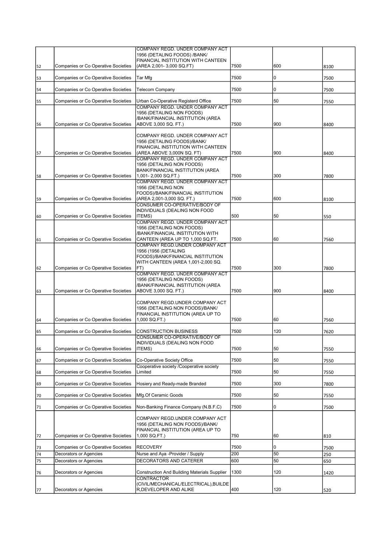|          |                                                               | COMPANY REGD, UNDER COMPANY ACT<br>1956 (DETALING FOODS) /BANK/                                                         |             |         |             |
|----------|---------------------------------------------------------------|-------------------------------------------------------------------------------------------------------------------------|-------------|---------|-------------|
|          |                                                               | FINANCIAL INSTITUTION WITH CANTEEN                                                                                      |             |         |             |
| 52       | Companies or Co Operative Societies                           | (AREA 2,001-3,000 SQ.FT)                                                                                                | 7500        | 600     | 8100        |
| 53       | Companies or Co Operative Societies                           | Tar Mfg                                                                                                                 | 7500        | 0       | 7500        |
| 54       | Companies or Co Operative Societies                           | <b>Telecom Company</b>                                                                                                  | 7500        | 0       | 7500        |
| 55       | Companies or Co Operative Societies                           | Urban Co-Operative Registerd Office                                                                                     | 7500        | 50      | 7550        |
|          |                                                               | COMPANY REGD. UNDER COMPANY ACT<br>1956 (DETALING NON FOODS)                                                            |             |         |             |
| 56       | Companies or Co Operative Societies                           | /BANK/FINANCIAL INSTITUTION (AREA<br>ABOVE 3,000 SQ. FT.)                                                               | 7500        | 900     | 8400        |
|          |                                                               | COMPANY REGD. UNDER COMPANY ACT<br>1956 (DETALING FOODS)/BANK/<br>FINANCIAL INSTITUTION WITH CANTEEN                    |             |         |             |
| 57       | Companies or Co Operative Societies                           | (AREA ABOVE 3,000N SQ. FT)                                                                                              | 7500        | 900     | 8400        |
| 58       | Companies or Co Operative Societies                           | COMPANY REGD. UNDER COMPANY ACT<br>1956 (DETALING NON FOODS)<br>BANK/FINANCIAL INSTITUTION (AREA<br>1,001-2,000 SQ.FT.) | 7500        | 300     | 7800        |
|          |                                                               | COMPANY REGD. UNDER COMPANY ACT<br>1956 (DETALING NON                                                                   |             |         |             |
| 59       | Companies or Co Operative Societies                           | FOODS)/BANK/FINANCIAL INSTITUTION<br>(AREA 2,001-3,000 SQ. FT.)                                                         | 7500        | 600     | 8100        |
|          |                                                               | CONSUMER CO-OPERATIVE/BODY OF<br>INDIVIDUALS (DEALING NON FOOD                                                          |             |         |             |
| 60       | Companies or Co Operative Societies                           | <b>ITEMS</b> )                                                                                                          | 500         | 50      | 550         |
|          |                                                               | COMPANY REGD. UNDER COMPANY ACT<br>1956 (DETALING NON FOODS)                                                            |             |         |             |
| 61       | Companies or Co Operative Societies                           | /BANK/FINANCIAL INSTITUTION WITH<br>CANTEEN (AREA UP TO 1,000 SQ.FT.                                                    | 7500        | 60      | 7560        |
|          |                                                               | COMPANY REGD.UNDER COMPANY ACT<br>1956 (1956 (DETALING                                                                  |             |         |             |
|          |                                                               | FOODS)/BANK/FINANCIAL INSTITUTION                                                                                       |             |         |             |
| 62       | Companies or Co Operative Societies                           | WITH CANTEEN (AREA 1,001-2,000 SQ.<br>FT)                                                                               | 7500        | 300     | 7800        |
|          |                                                               | COMPANY REGD. UNDER COMPANY ACT<br>1956 (DETALING NON FOODS)<br>/BANK/FINANCIAL INSTITUTION (AREA                       |             |         |             |
| 63       | Companies or Co Operative Societies                           | ABOVE 3,000 SQ. FT.)                                                                                                    | 7500        | 900     | 8400        |
|          |                                                               | COMPANY REGD.UNDER COMPANY ACT<br>1956 (DETALING NON FOODS)/BANK/<br>FINANCIAL INSTITUTION (AREA UP TO                  |             |         |             |
| 64       | Companies or Co Operative Societies                           | 1,000 SQ.FT.)                                                                                                           | 7500        | 60      | 7560        |
| 65       | <b>Companies or Co Operative Societies</b>                    | <b>CONSTRUCTION BUSINESS</b><br>CONSUMER CO-OPERATIVE/BODY OF                                                           | 7500        | 120     | 7620        |
|          |                                                               | INDIVIDUALS (DEALING NON FOOD                                                                                           |             |         |             |
| 66       | Companies or Co Operative Societies                           | ITEMS)                                                                                                                  | 7500        | 50      | 7550        |
| 67       | Companies or Co Operative Societies                           | Co-Operative Society Office<br>Cooperative society /Cooperative society                                                 | 7500        | 50      | 7550        |
| 68       | Companies or Co Operative Societies                           | Limited                                                                                                                 | 7500        | 50      | 7550        |
| 69       | Companies or Co Operative Societies                           | Hosiery and Ready-made Branded                                                                                          | 7500        | 300     | 7800        |
| 70       | Companies or Co Operative Societies                           | Mfg.Of Ceramic Goods                                                                                                    | 7500        | 50      | 7550        |
| 71       | Companies or Co Operative Societies                           | Non-Banking Finance Company (N.B.F.C)                                                                                   | 7500        | 0       | 7500        |
|          | Companies or Co Operative Societies                           | COMPANY REGD.UNDER COMPANY ACT<br>1956 (DETALING NON FOODS)/BANK/<br>FINANCIAL INSTITUTION (AREA UP TO<br>1,000 SQ.FT.) | 750         | 60      |             |
| 72       |                                                               |                                                                                                                         |             |         | 810         |
| 73<br>74 | Companies or Co Operative Societies<br>Decorators or Agencies | <b>RECOVERY</b><br>Nurse and Aya -Provider / Supply                                                                     | 7500<br>200 | 0<br>50 | 7500<br>250 |
| 75       | Decorators or Agencies                                        | DECORATORS AND CATERER                                                                                                  | 600         | 50      | 650         |
| 76       | Decorators or Agencies                                        | <b>Construction And Building Materials Supplier</b>                                                                     | 1300        | 120     | 1420        |
| 77       | Decorators or Agencies                                        | <b>CONTRACTOR</b><br>(CIVIL/MECHANICAL/ELECTRICAL), BUILDE<br>R, DEVELOPER AND ALIKE                                    | 400         | 120     | 520         |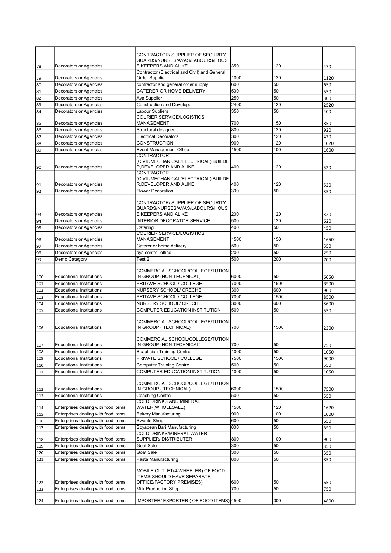|     |                                     | CONTRACTOR/ SUPPLIER OF SECURITY                                     |      |      |      |
|-----|-------------------------------------|----------------------------------------------------------------------|------|------|------|
|     |                                     | GUARDS/NURSES/AYAS/LABOURS/HOUS                                      |      |      |      |
| 78  | Decorators or Agencies              | E KEEPERS AND ALIKE<br>Contractor (Electrical and Civil) and General | 350  | 120  | 470  |
| 79  | Decorators or Agencies              | Order Supplier                                                       | 1000 | 120  | 1120 |
| 80  | Decorators or Agencies              | contractor and general order supply                                  | 600  | 50   | 650  |
| 81  | Decorators or Agencies              | CATERER OR HOME DELIVERY                                             | 500  | 50   | 550  |
| 82  | Decorators or Agencies              | Aya Supplier                                                         | 250  | 50   | 300  |
| 83  | Decorators or Agencies              | <b>Construction and Developer</b>                                    | 2400 | 120  | 2520 |
| 84  | Decorators or Agencies              | Labour Supliers                                                      | 350  | 50   | 400  |
| 85  | Decorators or Agencies              | <b>COURIER SERVICE/LOGISTICS</b><br><b>MANAGEMENT</b>                | 700  | 150  | 850  |
| 86  | <b>Decorators or Agencies</b>       | Structural designer                                                  | 800  | 120  | 920  |
| 87  | Decorators or Agencies              | <b>Electrical Decorators</b>                                         | 300  | 120  | 420  |
| 88  | Decorators or Agencies              | <b>CONSTRUCTION</b>                                                  | 900  | 120  | 1020 |
| 89  | Decorators or Agencies              | <b>Event Management Office</b>                                       | 1500 | 100  | 1600 |
|     |                                     | <b>CONTRACTOR</b>                                                    |      |      |      |
|     |                                     | (CIVIL/MECHANICAL/ELECTRICAL), BUILDE                                |      |      |      |
| 90  | Decorators or Agencies              | R, DEVELOPER AND ALIKE                                               | 400  | 120  | 520  |
|     |                                     | <b>CONTRACTOR</b><br>(CIVIL/MECHANICAL/ELECTRICAL), BUILDE           |      |      |      |
| 91  | Decorators or Agencies              | R, DEVELOPER AND ALIKE                                               | 400  | 120  | 520  |
| 92  | Decorators or Agencies              | <b>Flower Decoration</b>                                             | 300  | 50   | 350  |
|     |                                     |                                                                      |      |      |      |
|     |                                     | CONTRACTOR/ SUPPLIER OF SECURITY                                     |      |      |      |
|     |                                     | GUARDS/NURSES/AYAS/LABOURS/HOUS                                      |      |      |      |
| 93  | Decorators or Agencies              | E KEEPERS AND ALIKE                                                  | 200  | 120  | 320  |
| 94  | Decorators or Agencies              | <b>INTERIOR DECORATOR SERVICE</b>                                    | 500  | 120  | 620  |
| 95  | Decorators or Agencies              | Catering                                                             | 400  | 50   | 450  |
| 96  | Decorators or Agencies              | <b>COURIER SERVICE/LOGISTICS</b><br><b>MANAGEMENT</b>                | 1500 | 150  | 1650 |
| 97  | Decorators or Agencies              | Caterer or home delivery                                             | 500  | 50   | 550  |
| 98  | Decorators or Agencies              | aya centre -office                                                   | 200  | 50   | 250  |
| 99  | Demo Category                       | Test 2                                                               | 500  | 200  | 700  |
|     |                                     |                                                                      |      |      |      |
|     |                                     | COMMERCIAL SCHOOL/COLLEGE/TUTION                                     |      |      |      |
| 100 | <b>Educational Institutions</b>     | IN GROUP (NON TECHNICAL)                                             | 6000 | 50   | 6050 |
|     |                                     |                                                                      |      |      |      |
| 101 | <b>Educational Institutions</b>     | PRITAVE SCHOOL / COLLEGE                                             | 7000 | 1500 | 8500 |
| 102 | <b>Educational Institutions</b>     | NURSERY SCHOOL/ CRECHE                                               | 300  | 600  | 900  |
| 103 | <b>Educational Institutions</b>     | PRITAVE SCHOOL / COLLEGE                                             | 7000 | 1500 | 8500 |
| 104 | <b>Educational Institutions</b>     | NURSERY SCHOOL/ CRECHE                                               | 3000 | 600  | 3600 |
| 105 | <b>Educational Institutions</b>     | COMPUTER EDUCATION INSTITUTION                                       | 500  | 50   | 550  |
|     |                                     |                                                                      |      |      |      |
|     |                                     | COMMERCIAL SCHOOL/COLLEGE/TUTION                                     |      |      |      |
| 106 | <b>Educational Institutions</b>     | IN GROUP (TECHNICAL)                                                 | 700  | 1500 | 2200 |
|     |                                     | COMMERCIAL SCHOOL/COLLEGE/TUTION                                     |      |      |      |
| 107 | <b>Educational Institutions</b>     | IN GROUP (NON TECHNICAL)                                             | 700  | 50   | 750  |
| 108 | <b>Educational Institutions</b>     | <b>Beautician Training Centre</b>                                    | 1000 | 50   | 1050 |
| 109 | <b>Educational Institutions</b>     | PRIVATE SCHOOL / COLLEGE                                             | 7500 | 1500 | 9000 |
| 110 | <b>Educational Institutions</b>     | <b>Computer Training Centre</b>                                      | 500  | 50   | 550  |
| 111 | <b>Educational Institutions</b>     | COMPUTER EDUCATION INSTITUTION                                       | 1000 | 50   | 1050 |
|     |                                     |                                                                      |      |      |      |
|     |                                     | COMMERCIAL SCHOOL/COLLEGE/TUTION                                     |      |      |      |
| 112 | <b>Educational Institutions</b>     | IN GROUP (TECHNICAL)                                                 | 6000 | 1500 | 7500 |
| 113 | <b>Educational Institutions</b>     | Coaching Centre<br><b>COLD DRINKS AND MINERAL</b>                    | 500  | 50   | 550  |
| 114 | Enterprises dealing with food items | WATER(WHOLESALE)                                                     | 1500 | 120  | 1620 |
| 115 | Enterprises dealing with food items | <b>Bakery Manufacturing</b>                                          | 900  | 100  | 1000 |
| 116 | Enterprises dealing with food items | Sweets Shop                                                          | 600  | 50   | 650  |
| 117 | Enterprises dealing with food items | Soyabean Bari Manufacturing                                          | 800  | 50   | 850  |
|     |                                     | <b>COLD DRINKS/MINERAL WATER</b>                                     |      |      |      |
| 118 | Enterprises dealing with food items | SUPPLIER/DISTRIBUTER                                                 | 800  | 100  | 900  |
| 119 | Enterprises dealing with food items | Goat Sale                                                            | 300  | 50   | 350  |
| 120 | Enterprises dealing with food items | Goat Sale                                                            | 300  | 50   | 350  |
| 121 | Enterprises dealing with food items | Pasta Manufacturing                                                  | 800  | 50   | 850  |
|     |                                     |                                                                      |      |      |      |
|     |                                     | MOBILE OUTLET(4-WHEELER) OF FOOD                                     |      |      |      |
| 122 | Enterprises dealing with food items | <b>ITEMS(SHOULD HAVE SEPARATE</b><br>OFFICE/FACTORY PREMISES)        | 600  | 50   | 650  |
| 123 | Enterprises dealing with food items | Milk Production Shop                                                 | 700  | 50   | 750  |
|     | Enterprises dealing with food items | IMPORTER/ EXPORTER ( OF FOOD ITEMS) 4500                             |      | 300  |      |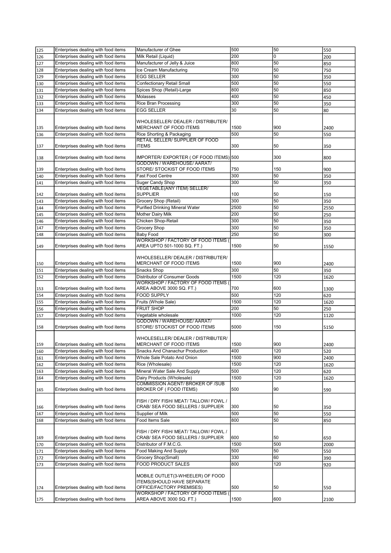| 125 | Enterprises dealing with food items | Manufacturer of Ghee                                         | 500  | 50  | 550  |
|-----|-------------------------------------|--------------------------------------------------------------|------|-----|------|
| 126 | Enterprises dealing with food items | Milk Retail (Liquid)                                         | 200  | 0   | 200  |
| 127 | Enterprises dealing with food items | Manufacturer of Jelly & Juice                                | 800  | 50  | 850  |
|     | Enterprises dealing with food items |                                                              | 700  | 50  |      |
| 128 |                                     | Ice Cream Manufacturing                                      |      |     | 750  |
| 129 | Enterprises dealing with food items | <b>EGG SELLER</b>                                            | 300  | 50  | 350  |
| 130 | Enterprises dealing with food items | Confectionary Retail Small                                   | 500  | 50  | 550  |
| 131 | Enterprises dealing with food items | Spices Shop (Retail)-Large                                   | 800  | 50  | 850  |
| 132 | Enterprises dealing with food items | Molasses                                                     | 400  | 50  | 450  |
| 133 | Enterprises dealing with food items | Rice Bran Processing                                         | 300  | 50  | 350  |
| 134 | Enterprises dealing with food items | EGG SELLER                                                   | 30   | 50  | 80   |
|     |                                     |                                                              |      |     |      |
|     |                                     | WHOLESELLER/DEALER/DISTRIBUTER/                              |      |     |      |
| 135 | Enterprises dealing with food items | MERCHANT OF FOOD ITEMS                                       | 1500 | 900 | 2400 |
|     | Enterprises dealing with food items |                                                              | 500  | 50  |      |
| 136 |                                     | Rice Shorting & Packaging<br>RETAIL SELLER/ SUPPLIER OF FOOD |      |     | 550  |
|     |                                     | <b>ITEMS</b>                                                 | 300  | 50  |      |
| 137 | Enterprises dealing with food items |                                                              |      |     | 350  |
|     | Enterprises dealing with food items | IMPORTER/ EXPORTER ( OF FOOD ITEMS) 500                      |      | 300 |      |
| 138 |                                     | GODOWN / WAREHOUSE/ AARAT/                                   |      |     | 800  |
|     |                                     | STORE/ STOCKIST OF FOOD ITEMS                                | 750  | 150 |      |
| 139 | Enterprises dealing with food items |                                                              |      |     | 900  |
| 140 | Enterprises dealing with food items | Fast Food Centre                                             | 300  | 50  | 350  |
| 141 | Enterprises dealing with food items | Suger Candy Shop                                             | 300  | 50  | 350  |
|     |                                     | <b>VEGETABLE(ANY ITEM) SELLER/</b>                           |      |     |      |
| 142 | Enterprises dealing with food items | <b>SUPPLIER</b>                                              | 100  | 50  | 150  |
| 143 | Enterprises dealing with food items | Grocery Shop (Retail)                                        | 300  | 50  | 350  |
| 144 | Enterprises dealing with food items | <b>Purified Drinking Mineral Water</b>                       | 2500 | 50  | 2550 |
| 145 | Enterprises dealing with food items | Mother Dairy Milk                                            | 200  | 50  | 250  |
| 146 | Enterprises dealing with food items | Chicken Shop-Retail                                          | 300  | 50  | 350  |
|     | Enterprises dealing with food items | Grocery Shop                                                 | 300  | 50  | 350  |
| 147 |                                     |                                                              |      |     |      |
| 148 | Enterprises dealing with food items | <b>Baby Food</b>                                             | 250  | 50  | 300  |
|     |                                     | WORKSHOP / FACTORY OF FOOD ITEMS                             |      |     |      |
| 149 | Enterprises dealing with food items | AREA UPTO 501-1000 SQ. FT.)                                  | 1500 | 50  | 1550 |
|     |                                     |                                                              |      |     |      |
|     |                                     | WHOLESELLER/ DEALER / DISTRIBUTER/                           | 1500 |     |      |
| 150 | Enterprises dealing with food items | MERCHANT OF FOOD ITEMS                                       |      | 900 | 2400 |
| 151 | Enterprises dealing with food items | Snacks Shop                                                  | 300  | 50  | 350  |
| 152 | Enterprises dealing with food items | Distributor of Consumer Goods                                | 1500 | 120 | 1620 |
|     |                                     | WORKSHOP / FACTORY OF FOOD ITEMS (                           |      |     |      |
| 153 | Enterprises dealing with food items | AREA ABOVE 3000 SQ. FT.)                                     | 700  | 600 | 1300 |
| 154 | Enterprises dealing with food items | FOOD SUPPLY                                                  | 500  | 120 | 620  |
| 155 | Enterprises dealing with food items | Fruits (Whole Sale)                                          | 1500 | 120 | 1620 |
| 156 | Enterprises dealing with food items | <b>FRUIT SHOP</b>                                            | 200  | 50  | 250  |
| 157 | Enterprises dealing with food items | Vegetable wholesale                                          | 1000 | 120 | 1120 |
|     |                                     | GODOWN / WAREHOUSE/ AARAT/                                   |      |     |      |
| 158 | Enterprises dealing with food items | STORE/ STOCKIST OF FOOD ITEMS                                | 5000 | 150 | 5150 |
|     |                                     |                                                              |      |     |      |
|     |                                     | WHOLESELLER/ DEALER / DISTRIBUTER/                           |      |     |      |
| 159 | Enterprises dealing with food items | MERCHANT OF FOOD ITEMS                                       | 1500 | 900 | 2400 |
| 160 | Enterprises dealing with food items | Snacks And Chanachur Production                              | 400  | 120 | 520  |
|     | Enterprises dealing with food items | Whole Sale Potato And Onion                                  | 1500 | 900 |      |
| 161 |                                     |                                                              |      |     | 2400 |
| 162 | Enterprises dealing with food items | Rice (Wholesale)                                             | 1500 | 120 | 1620 |
| 163 | Enterprises dealing with food items | Mineral Water Sale And Supply                                | 500  | 120 | 620  |
| 164 | Enterprises dealing with food items | Dairy Products (Wholesale)                                   | 1500 | 120 | 1620 |
|     |                                     | COMMISSION AGENT/ BROKER OF /SUB                             |      |     |      |
| 165 | Enterprises dealing with food items | BROKER OF (FOOD ITEMS)                                       | 500  | 90  | 590  |
|     |                                     |                                                              |      |     |      |
|     |                                     | FISH / DRY FISH/ MEAT/ TALLOW/ FOWL /                        |      |     |      |
| 166 | Enterprises dealing with food items | CRAB/ SEA FOOD SELLERS / SUPPLIER                            | 300  | 50  | 350  |
| 167 | Enterprises dealing with food items | Supplier of Milk                                             | 500  | 50  | 550  |
| 168 | Enterprises dealing with food items | Food Items Sale                                              | 800  | 50  | 850  |
|     |                                     |                                                              |      |     |      |
|     |                                     | FISH / DRY FISH/ MEAT/ TALLOW/ FOWL /                        |      |     |      |
| 169 | Enterprises dealing with food items | CRAB/ SEA FOOD SELLERS / SUPPLIER                            | 600  | 50  | 650  |
| 170 | Enterprises dealing with food items | Distributor of F.M.C.G.                                      | 1500 | 500 | 2000 |
| 171 | Enterprises dealing with food items | Food Making And Supply                                       | 500  | 50  | 550  |
|     | Enterprises dealing with food items |                                                              |      | 60  |      |
| 172 |                                     | Grocery Shop(Small)                                          | 330  |     | 390  |
| 173 | Enterprises dealing with food items | FOOD PRODUCT SALES                                           | 800  | 120 | 920  |
|     |                                     |                                                              |      |     |      |
|     |                                     | MOBILE OUTLET (3-WHEELER) OF FOOD                            |      |     |      |
|     |                                     | ITEMS(SHOULD HAVE SEPARATE                                   |      |     |      |
| 174 | Enterprises dealing with food items | OFFICE/FACTORY PREMISES)                                     | 500  | 50  | 550  |
|     |                                     | WORKSHOP / FACTORY OF FOOD ITEMS (                           |      |     |      |
| 175 | Enterprises dealing with food items | AREA ABOVE 3000 SQ. FT.)                                     | 1500 | 600 | 2100 |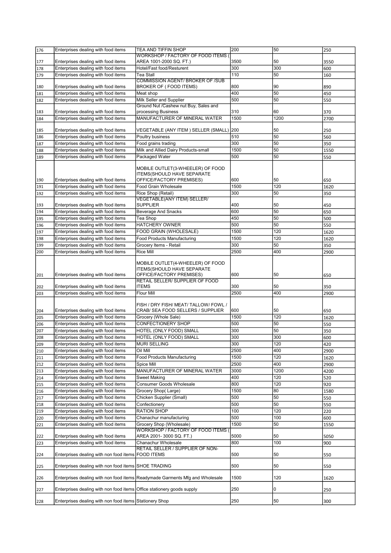| 176 | Enterprises dealing with food items                                    | TEA AND TIFFIN SHOP                                                          | 200  | 50   | 250  |
|-----|------------------------------------------------------------------------|------------------------------------------------------------------------------|------|------|------|
|     |                                                                        | WORKSHOP / FACTORY OF FOOD ITEMS                                             |      |      |      |
|     |                                                                        |                                                                              | 3500 | 50   |      |
| 177 | Enterprises dealing with food items                                    | AREA 1001-2000 SQ. FT.)                                                      |      |      | 3550 |
| 178 | Enterprises dealing with food items                                    | Hotel/Fast food/Resturent                                                    | 300  | 300  | 600  |
| 179 | Enterprises dealing with food items                                    | Tea Stall                                                                    | 110  | 50   | 160  |
|     |                                                                        | <b>COMMISSION AGENT/ BROKER OF /SUB</b>                                      |      |      |      |
| 180 | Enterprises dealing with food items                                    | BROKER OF (FOOD ITEMS)                                                       | 800  | 90   | 890  |
| 181 | Enterprises dealing with food items                                    | Meat shop                                                                    | 400  | 50   | 450  |
|     |                                                                        |                                                                              |      |      |      |
| 182 | Enterprises dealing with food items                                    | Milk Seller and Supplier                                                     | 500  | 50   | 550  |
|     |                                                                        | Ground Nut /Cashew nut Buy, Sales and                                        |      |      |      |
| 183 | Enterprises dealing with food items                                    | processing Business                                                          | 310  | 60   | 370  |
| 184 | Enterprises dealing with food items                                    | MANUFACTURER OF MINERAL WATER                                                | 1500 | 1200 | 2700 |
|     |                                                                        |                                                                              |      |      |      |
| 185 | Enterprises dealing with food items                                    | VEGETABLE (ANY ITEM ) SELLER (SMALL)                                         | 200  | 50   | 250  |
|     | Enterprises dealing with food items                                    |                                                                              | 510  | 50   |      |
| 186 |                                                                        | Poultry business                                                             |      |      | 560  |
| 187 | Enterprises dealing with food items                                    | Food grains trading                                                          | 300  | 50   | 350  |
| 188 | Enterprises dealing with food items                                    | Milk and Allied Dairy Products-small                                         | 1500 | 50   | 1550 |
| 189 | Enterprises dealing with food items                                    | Packaged Water                                                               | 500  | 50   | 550  |
|     |                                                                        |                                                                              |      |      |      |
|     |                                                                        | MOBILE OUTLET(3-WHEELER) OF FOOD                                             |      |      |      |
|     |                                                                        | ITEMS(SHOULD HAVE SEPARATE                                                   |      |      |      |
|     |                                                                        |                                                                              |      |      |      |
| 190 | Enterprises dealing with food items                                    | OFFICE/FACTORY PREMISES)                                                     | 600  | 50   | 650  |
| 191 | Enterprises dealing with food items                                    | Food Grain Wholesale                                                         | 1500 | 120  | 1620 |
| 192 | Enterprises dealing with food items                                    | Rice Shop (Retail)                                                           | 300  | 50   | 350  |
|     |                                                                        | <b>VEGETABLE(ANY ITEM) SELLER/</b>                                           |      |      |      |
| 193 | Enterprises dealing with food items                                    | <b>SUPPLIER</b>                                                              | 400  | 50   | 450  |
|     | Enterprises dealing with food items                                    | <b>Beverage And Snacks</b>                                                   | 600  | 50   |      |
| 194 |                                                                        |                                                                              |      |      | 650  |
| 195 | Enterprises dealing with food items                                    | Tea Shop                                                                     | 450  | 50   | 500  |
| 196 | Enterprises dealing with food items                                    | HATCHERY OWNER                                                               | 500  | 50   | 550  |
| 197 | Enterprises dealing with food items                                    | FOOD GRAIN (WHOLESALE)                                                       | 1500 | 120  | 1620 |
| 198 | Enterprises dealing with food items                                    | <b>Food Products Manufacturing</b>                                           | 1500 | 120  |      |
|     |                                                                        |                                                                              |      |      | 1620 |
| 199 | Enterprises dealing with food items                                    | Grocery Items - Retail                                                       | 300  | 50   | 350  |
| 200 | Enterprises dealing with food items                                    | <b>Rice Mill</b>                                                             | 2500 | 400  | 2900 |
|     |                                                                        |                                                                              |      |      |      |
|     |                                                                        | MOBILE OUTLET(4-WHEELER) OF FOOD                                             |      |      |      |
|     |                                                                        | ITEMS(SHOULD HAVE SEPARATE                                                   |      |      |      |
| 201 | Enterprises dealing with food items                                    | OFFICE/FACTORY PREMISES)                                                     | 600  | 50   | 650  |
|     |                                                                        | RETAIL SELLER/ SUPPLIER OF FOOD                                              |      |      |      |
|     | Enterprises dealing with food items                                    | <b>ITEMS</b>                                                                 | 300  | 50   | 350  |
| 202 |                                                                        |                                                                              |      |      |      |
| 203 | Enterprises dealing with food items                                    | <b>Flour Mill</b>                                                            | 2500 | 400  | 2900 |
|     |                                                                        |                                                                              |      |      |      |
|     |                                                                        | FISH / DRY FISH/ MEAT/ TALLOW/ FOWL /                                        |      |      |      |
| 204 | Enterprises dealing with food items                                    | CRAB/ SEA FOOD SELLERS / SUPPLIER                                            | 600  | 50   | 650  |
| 205 | Enterprises dealing with food items                                    | Grocery (Whole Sale)                                                         | 1500 | 120  | 1620 |
| 206 | Enterprises dealing with food items                                    | CONFECTIONERY SHOP                                                           | 500  | 50   | 550  |
|     |                                                                        |                                                                              |      |      |      |
| 207 | Enterprises dealing with food items                                    | HOTEL (ONLY FOOD) SMALL                                                      | 300  | 50   | 350  |
| 208 | Enterprises dealing with food items                                    | HOTEL (ONLY FOOD) SMALL                                                      | 300  | 300  | 600  |
| 209 | Enterprises dealing with food items                                    | <b>MURI SELLING</b>                                                          | 300  | 120  | 420  |
| 210 | Enterprises dealing with food items                                    | Oil Mill                                                                     | 2500 | 400  | 2900 |
|     |                                                                        |                                                                              |      |      |      |
| 211 | Enterprises dealing with food items                                    | Food Products Manufacturing                                                  | 1500 | 120  | 1620 |
| 212 | Enterprises dealing with food items                                    | Spice Mill                                                                   | 2500 | 400  | 2900 |
| 213 | Enterprises dealing with food items                                    | MANUFACTURER OF MINERAL WATER                                                | 3000 | 1200 | 4200 |
| 214 | Enterprises dealing with food items                                    | <b>Sweet Making</b>                                                          | 400  | 120  | 520  |
| 215 | Enterprises dealing with food items                                    | Consumer Goods Wholesale                                                     | 800  | 120  | 920  |
|     |                                                                        |                                                                              |      |      |      |
| 216 | Enterprises dealing with food items                                    | Grocery Shop(Large)                                                          | 1500 | 80   | 1580 |
| 217 | Enterprises dealing with food items                                    | Chicken Supplier (Small)                                                     | 500  | 50   | 550  |
| 218 | Enterprises dealing with food items                                    | Confectionery                                                                | 500  | 50   | 550  |
| 219 | Enterprises dealing with food items                                    | RATION SHOP                                                                  | 100  | 120  | 220  |
|     |                                                                        |                                                                              |      |      |      |
| 220 | Enterprises dealing with food items                                    | Chanachur manufacturing                                                      | 500  | 100  | 600  |
| 221 | Enterprises dealing with food items                                    | Grocery Shop (Wholesale)                                                     | 1500 | 50   | 1550 |
|     |                                                                        | WORKSHOP / FACTORY OF FOOD ITEMS                                             |      |      |      |
| 222 | Enterprises dealing with food items                                    | AREA 2001- 3000 SQ. FT.)                                                     | 5000 | 50   | 5050 |
| 223 | Enterprises dealing with food items                                    | Chanachur Wholesale                                                          | 800  | 100  | 900  |
|     |                                                                        | RETAIL SELLER / SUPPLIER OF NON-                                             |      |      |      |
|     |                                                                        | FOOD ITEMS                                                                   | 500  | 50   |      |
| 224 | Enterprises dealing with non food items                                |                                                                              |      |      | 550  |
|     |                                                                        |                                                                              |      |      |      |
| 225 | Enterprises dealing with non food items SHOE TRADING                   |                                                                              | 500  | 50   | 550  |
|     |                                                                        |                                                                              |      |      |      |
| 226 |                                                                        | Enterprises dealing with non food items Readymade Garments Mfg and Wholesale | 1500 | 120  | 1620 |
|     |                                                                        |                                                                              |      |      |      |
| 227 | Enterprises dealing with non food items Office stationery goods supply |                                                                              | 250  | 0    | 250  |
|     |                                                                        |                                                                              |      |      |      |
| 228 | Enterprises dealing with non food items Stationery Shop                |                                                                              | 250  | 50   | 300  |
|     |                                                                        |                                                                              |      |      |      |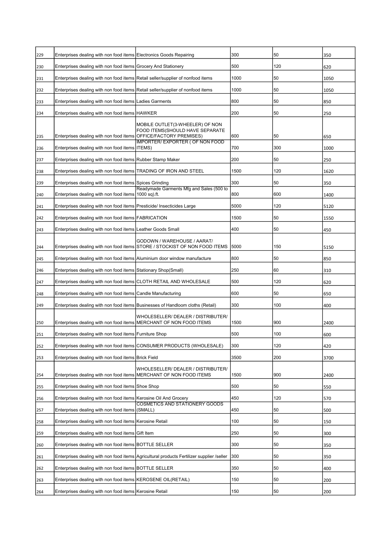| 229 | Enterprises dealing with non food items Electronics Goods Repairing             |                                                                                           | 300  | 50  | 350  |
|-----|---------------------------------------------------------------------------------|-------------------------------------------------------------------------------------------|------|-----|------|
| 230 | Enterprises dealing with non food items Grocery And Stationery                  |                                                                                           | 500  | 120 | 620  |
| 231 | Enterprises dealing with non food items Retail seller/supplier of nonfood items |                                                                                           | 1000 | 50  | 1050 |
| 232 | Enterprises dealing with non food items Retail seller/supplier of nonfood items |                                                                                           | 1000 | 50  | 1050 |
| 233 | Enterprises dealing with non food items Ladies Garments                         |                                                                                           | 800  | 50  | 850  |
| 234 | Enterprises dealing with non food items HAWKER                                  |                                                                                           | 200  | 50  | 250  |
|     |                                                                                 | MOBILE OUTLET(3-WHEELER) OF NON                                                           |      |     |      |
| 235 | Enterprises dealing with non food items OFFICE/FACTORY PREMISES)                | FOOD ITEMS(SHOULD HAVE SEPARATE                                                           | 600  | 50  | 650  |
| 236 | Enterprises dealing with non food items ITEMS)                                  | <b>IMPORTER/ EXPORTER ( OF NON FOOD</b>                                                   | 700  | 300 | 1000 |
| 237 | Enterprises dealing with non food items Rubber Stamp Maker                      |                                                                                           | 200  | 50  | 250  |
| 238 | Enterprises dealing with non food items TRADING OF IRON AND STEEL               |                                                                                           | 1500 | 120 | 1620 |
| 239 | Enterprises dealing with non food items Spices Grinding                         |                                                                                           | 300  | 50  | 350  |
| 240 | Enterprises dealing with non food items 1000 sq).ft.                            | Readymade Garments Mfg and Sales (500 to                                                  | 800  | 600 | 1400 |
| 241 | Enterprises dealing with non food items Presticide/ Insecticides Large          |                                                                                           | 5000 | 120 | 5120 |
| 242 | Enterprises dealing with non food items FABRICATION                             |                                                                                           | 1500 | 50  | 1550 |
| 243 | Enterprises dealing with non food items Leather Goods Small                     |                                                                                           | 400  | 50  | 450  |
|     |                                                                                 | GODOWN / WAREHOUSE / AARAT/                                                               |      |     |      |
| 244 |                                                                                 | Enterprises dealing with non food items STORE / STOCKIST OF NON FOOD ITEMS                | 5000 | 150 | 5150 |
| 245 | Enterprises dealing with non food items Aluminium door window manufacture       |                                                                                           | 800  | 50  | 850  |
| 246 | Enterprises dealing with non food items Stationary Shop(Small)                  |                                                                                           | 250  | 60  | 310  |
| 247 | Enterprises dealing with non food items CLOTH RETAIL AND WHOLESALE              |                                                                                           | 500  | 120 | 620  |
| 248 | Enterprises dealing with non food items Candle Manufacturing                    |                                                                                           | 600  | 50  | 650  |
| 249 |                                                                                 | Enterprises dealing with non food items Businesses of Handloom cloths (Retail)            | 300  | 100 | 400  |
| 250 | Enterprises dealing with non food items MERCHANT OF NON FOOD ITEMS              | WHOLESELLER/ DEALER / DISTRIBUTER/                                                        | 1500 | 900 | 2400 |
| 251 | Enterprises dealing with non food items Furniture Shop                          |                                                                                           | 500  | 100 | 600  |
| 252 |                                                                                 | Enterprises dealing with non food items CONSUMER PRODUCTS (WHOLESALE)                     | 300  | 120 | 420  |
| 253 | Enterprises dealing with non food items Brick Field                             |                                                                                           | 3500 | 200 | 3700 |
|     |                                                                                 | WHOLESELLER/ DEALER / DISTRIBUTER/                                                        | 1500 | 900 |      |
| 254 | Enterprises dealing with non food items MERCHANT OF NON FOOD ITEMS              |                                                                                           |      |     | 2400 |
| 255 | Enterprises dealing with non food items Shoe Shop                               |                                                                                           | 500  | 50  | 550  |
| 256 | Enterprises dealing with non food items Kerosine Oil And Grocery                | <b>COSMETICS AND STATIONERY GOODS</b>                                                     | 450  | 120 | 570  |
| 257 | Enterprises dealing with non food items                                         | (SMALL)                                                                                   | 450  | 50  | 500  |
| 258 | Enterprises dealing with non food items Kerosine Retail                         |                                                                                           | 100  | 50  | 150  |
| 259 | Enterprises dealing with non food items Gift Item                               |                                                                                           | 250  | 50  | 300  |
| 260 | Enterprises dealing with non food items BOTTLE SELLER                           |                                                                                           | 300  | 50  | 350  |
| 261 |                                                                                 | Enterprises dealing with non food items Agricultural products Fertilizer supplier /seller | 300  | 50  | 350  |
| 262 | Enterprises dealing with non food items   BOTTLE SELLER                         |                                                                                           | 350  | 50  | 400  |
| 263 | Enterprises dealing with non food items KEROSENE OIL(RETAIL)                    |                                                                                           | 150  | 50  | 200  |
| 264 | Enterprises dealing with non food items Kerosine Retail                         |                                                                                           | 150  | 50  | 200  |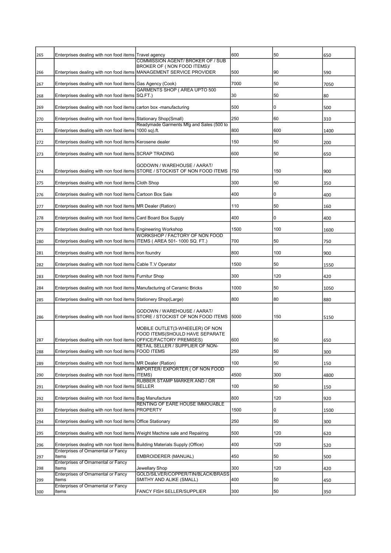| 265 | Enterprises dealing with non food items Travel agency                      | <b>COMMISSION AGENT/ BROKER OF / SUB</b>                                                                  | 600  | 50  | 650  |
|-----|----------------------------------------------------------------------------|-----------------------------------------------------------------------------------------------------------|------|-----|------|
| 266 |                                                                            | BROKER OF (NON FOOD ITEMS)/<br>Enterprises dealing with non food items MANAGEMENT SERVICE PROVIDER        | 500  | 90  | 590  |
| 267 | Enterprises dealing with non food items Gas Agency (Cook)                  |                                                                                                           | 7000 | 50  | 7050 |
| 268 | Enterprises dealing with non food items SQ.FT.)                            | <b>GARMENTS SHOP (AREA UPTO 500</b>                                                                       | 30   | 50  | 80   |
| 269 | Enterprises dealing with non food items carton box -manufacturing          |                                                                                                           | 500  | 0   | 500  |
| 270 | Enterprises dealing with non food items Stationary Shop(Small)             |                                                                                                           | 250  | 60  | 310  |
| 271 | Enterprises dealing with non food items 1000 sq).ft.                       | Readymade Garments Mfg and Sales (500 to                                                                  | 800  | 600 | 1400 |
| 272 | Enterprises dealing with non food items Kerosene dealer                    |                                                                                                           | 150  | 50  | 200  |
| 273 | Enterprises dealing with non food items SCRAP TRADING                      |                                                                                                           | 600  | 50  | 650  |
| 274 |                                                                            | GODOWN / WAREHOUSE / AARAT/<br>Enterprises dealing with non food items STORE / STOCKIST OF NON FOOD ITEMS | 750  | 150 | 900  |
| 275 | Enterprises dealing with non food items Cloth Shop                         |                                                                                                           | 300  | 50  | 350  |
| 276 | Enterprises dealing with non food items Cartoon Box Sale                   |                                                                                                           | 400  | 0   | 400  |
| 277 | Enterprises dealing with non food items MR Dealer (Ration)                 |                                                                                                           | 110  | 50  | 160  |
| 278 | Enterprises dealing with non food items Card Board Box Supply              |                                                                                                           | 400  | 0   | 400  |
| 279 | Enterprises dealing with non food items Engineering Workshop               |                                                                                                           | 1500 | 100 | 1600 |
| 280 | Enterprises dealing with non food items ITEMS ( AREA 501- 1000 SQ. FT.)    | WORKSHOP / FACTORY OF NON FOOD                                                                            | 700  | 50  | 750  |
| 281 | Enterprises dealing with non food items Iron foundry                       |                                                                                                           | 800  | 100 | 900  |
| 282 | Enterprises dealing with non food items Cable T.V Operator                 |                                                                                                           | 1500 | 50  | 1550 |
| 283 | Enterprises dealing with non food items Furnitur Shop                      |                                                                                                           | 300  | 120 | 420  |
| 284 | Enterprises dealing with non food items Manufacturing of Ceramic Bricks    |                                                                                                           | 1000 | 50  | 1050 |
| 285 | Enterprises dealing with non food items Stationery Shop(Large)             |                                                                                                           | 800  | 80  | 880  |
| 286 |                                                                            | GODOWN / WAREHOUSE / AARAT/<br>Enterprises dealing with non food items STORE / STOCKIST OF NON FOOD ITEMS | 5000 | 150 | 5150 |
| 287 | Enterprises dealing with non food items OFFICE/FACTORY PREMISES)           | MOBILE OUTLET(3-WHEELER) OF NON<br>FOOD ITEMS(SHOULD HAVE SEPARATE                                        | 600  | 50  | 650  |
| 288 | Enterprises dealing with non food items                                    | RETAIL SELLER / SUPPLIER OF NON-<br><b>FOOD ITEMS</b>                                                     | 250  | 50  | 300  |
| 289 | Enterprises dealing with non food items MR Dealer (Ration)                 |                                                                                                           | 100  | 50  | 150  |
| 290 | Enterprises dealing with non food items ITEMS)                             | <b>IMPORTER/ EXPORTER ( OF NON FOOD</b>                                                                   | 4500 | 300 | 4800 |
| 291 | Enterprises dealing with non food items                                    | RUBBER STAMP MARKER AND / OR<br>SELLER                                                                    | 100  | 50  | 150  |
| 292 | Enterprises dealing with non food items Bag Manufacture                    |                                                                                                           | 800  | 120 | 920  |
| 293 | Enterprises dealing with non food items                                    | RENTING OF EARE HOUSE IMMOUABLE<br><b>PROPERTY</b>                                                        | 1500 | 0   | 1500 |
| 294 | Enterprises dealing with non food items                                    | <b>Office Stationary</b>                                                                                  | 250  | 50  | 300  |
| 295 | Enterprises dealing with non food items Weight Machine sale and Repairing  |                                                                                                           | 500  | 120 | 620  |
| 296 | Enterprises dealing with non food items Building Materials Supply (Office) |                                                                                                           | 400  | 120 | 520  |
| 297 | Enterprises of Ornamental or Fancy<br>Items                                | EMBROIDERER (MANUAL)                                                                                      | 450  | 50  | 500  |
| 298 | Enterprises of Ornamental or Fancy<br>Items                                | Jewellary Shop                                                                                            | 300  | 120 | 420  |
| 299 | <b>Enterprises of Ornamental or Fancy</b><br>Items                         | GOLD/SILVER/COPPER/TIN/BLACK/BRASS<br>SMITHY AND ALIKE (SMALL)                                            | 400  | 50  | 450  |
| 300 | Enterprises of Ornamental or Fancy<br>Items                                | FANCY FISH SELLER/SUPPLIER                                                                                | 300  | 50  | 350  |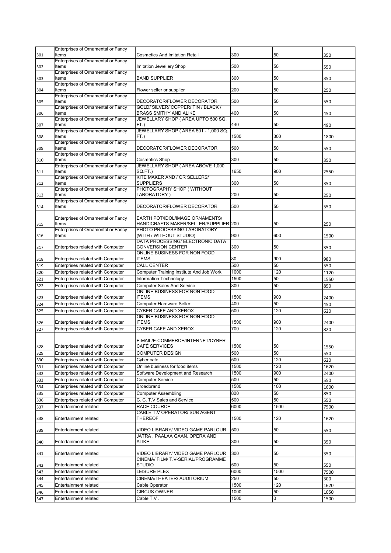|            | Enterprises of Ornamental or Fancy             |                                          |              |         |              |
|------------|------------------------------------------------|------------------------------------------|--------------|---------|--------------|
| 301        | Items                                          | <b>Cosmetics And Imitation Retail</b>    | 300          | 50      | 350          |
|            |                                                |                                          |              |         |              |
|            | Enterprises of Ornamental or Fancy             |                                          |              |         |              |
| 302        | Items                                          | Imitation Jewellery Shop                 | 500          | 50      | 550          |
|            | Enterprises of Ornamental or Fancy             |                                          |              |         |              |
| 303        | Items                                          | <b>BAND SUPPLIER</b>                     | 300          | 50      | 350          |
|            | Enterprises of Ornamental or Fancy             |                                          |              |         |              |
|            | Items                                          | Flower seller or supplier                | 200          | 50      |              |
| 304        |                                                |                                          |              |         | 250          |
|            | Enterprises of Ornamental or Fancy             |                                          |              |         |              |
| 305        | Items                                          | DECORATOR/FLOWER DECORATOR               | 500          | 50      | 550          |
|            | Enterprises of Ornamental or Fancy             | GOLD/ SILVER/ COPPER/ TIN / BLACK /      |              |         |              |
| 306        | Items                                          | <b>BRASS SMITHY AND ALIKE</b>            | 400          | 50      | 450          |
|            | Enterprises of Ornamental or Fancy             | JEWELLARY SHOP (AREA UPTO 500 SQ.        |              |         |              |
|            |                                                |                                          |              |         |              |
| 307        | Items                                          | FT.)                                     | 440          | 50      | 490          |
|            | Enterprises of Ornamental or Fancy             | JEWELLARY SHOP (AREA 501 - 1,000 SQ.     |              |         |              |
| 308        | Items                                          | FT.)                                     | 1500         | 300     | 1800         |
|            | Enterprises of Ornamental or Fancy             |                                          |              |         |              |
| 309        | Items                                          | DECORATOR/FLOWER DECORATOR               | 500          | 50      | 550          |
|            |                                                |                                          |              |         |              |
|            | Enterprises of Ornamental or Fancy             |                                          |              |         |              |
| 310        | Items                                          | <b>Cosmetics Shop</b>                    | 300          | 50      | 350          |
|            | Enterprises of Ornamental or Fancy             | JEWELLARY SHOP (AREA ABOVE 1,000         |              |         |              |
| 311        | Items                                          | SQ.FT.)                                  | 1650         | 900     | 2550         |
|            | Enterprises of Ornamental or Fancy             | KITE MAKER AND / OR SELLERS/             |              |         |              |
|            | Items                                          | <b>SUPPLIERS</b>                         | 300          | 50      |              |
| 312        |                                                |                                          |              |         | 350          |
|            | Enterprises of Ornamental or Fancy             | PHOTOGRAPHY SHOP (WITHOUT                |              |         |              |
| 313        | Items                                          | LABORATORY)                              | 200          | 50      | 250          |
|            | Enterprises of Ornamental or Fancy             |                                          |              |         |              |
| 314        | Items                                          | DECORATOR/FLOWER DECORATOR               | 500          | 50      | 550          |
|            |                                                |                                          |              |         |              |
|            |                                                |                                          |              |         |              |
|            | Enterprises of Ornamental or Fancy             | EARTH POT/IDOL/IMAGE ORNAMENTS/          |              |         |              |
| 315        | Items                                          | HANDICRAFTS MAKER/SELLER/SUPPLIER 200    |              | 50      | 250          |
|            | Enterprises of Ornamental or Fancy             | PHOTO PROCESSING LABORATORY              |              |         |              |
|            | Items                                          | (WITH / WITHOUT STUDIO)                  | 900          | 600     |              |
| 316        |                                                |                                          |              |         | 1500         |
|            |                                                | DATA PROCESSING/ ELECTRONIC DATA         |              |         |              |
| 317        | Enterprises related with Computer              | <b>CONVERSION CENTER</b>                 | 300          | 50      | 350          |
|            |                                                | ONLINE BUSINESS FOR NON FOOD             |              |         |              |
| 318        | Enterprises related with Computer              | <b>ITEMS</b>                             | 80           | 900     | 980          |
|            |                                                |                                          |              |         |              |
| 319        | Enterprises related with Computer              | <b>CALL CENTER</b>                       | 500          | 50      | 550          |
| 320        | Enterprises related with Computer              | Computer Training Institute And Job Work | 1000         | 120     | 1120         |
|            | Enterprises related with Computer              | Information Technology                   | 1500         | 50      | 1550         |
| 321        |                                                |                                          |              |         |              |
| 322        | Enterprises related with Computer              | <b>Computer Sales And Service</b>        | 800          | 50      | 850          |
|            |                                                |                                          |              |         |              |
|            |                                                | ONLINE BUSINESS FOR NON FOOD             |              |         |              |
|            |                                                |                                          |              |         |              |
| 323        | Enterprises related with Computer              | <b>ITEMS</b>                             | 1500         | 900     | 2400         |
| 324        | Enterprises related with Computer              | Computer Hardware Seller                 | 400          | 50      | 450          |
| 325        | Enterprises related with Computer              | CYBER CAFE AND XEROX                     | 500          | 120     | 620          |
|            |                                                |                                          |              |         |              |
|            |                                                | ONLINE BUSINESS FOR NON FOOD             |              |         |              |
| 326        | Enterprises related with Computer              | <b>ITEMS</b>                             | 1500         | 900     | 2400         |
| 327        | Enterprises related with Computer              | CYBER CAFE AND XEROX                     | 700          | 120     | 820          |
|            |                                                |                                          |              |         |              |
|            |                                                |                                          |              |         |              |
|            |                                                | E-MAIL/E-COMMERCE/INTERNET/CYBER         |              |         |              |
| 328        | Enterprises related with Computer              | CAFÉ SERVICES                            | 1500         | 50      | 1550         |
| 329        | Enterprises related with Computer              | COMPUTER DESIGN                          | 500          | 50      | 550          |
| 330        | Enterprises related with Computer              | Cyber cafe                               | 500          | 120     | 620          |
|            |                                                |                                          |              |         |              |
| 331        | Enterprises related with Computer              | Online business for food items           | 1500         | 120     | 1620         |
| 332        | Enterprises related with Computer              | Software Development and Research        | 1500         | 900     | 2400         |
|            | Enterprises related with Computer              | <b>Computer Service</b>                  | 500          | 50      |              |
| 333        |                                                |                                          |              |         | 550          |
| 334        | Enterprises related with Computer              | Broadbrand                               | 1500         | 100     | 1600         |
| 335        | Enterprises related with Computer              | <b>Computer Assembling</b>               | 800          | 50      | 850          |
|            |                                                |                                          |              |         |              |
| 336        | Enterprises related with Computer              | C. C. T.V Sales and Service              | 500          | 50      | 550          |
| 337        | Entertainment related                          | RACE COURCE                              | 6000         | 1500    | 7500         |
|            |                                                | CABLE T.V OPERATOR/ SUB AGENT            |              |         |              |
| 338        | Entertainment related                          | THEREOF                                  | 1500         | 120     |              |
|            |                                                |                                          |              |         | 1620         |
|            |                                                |                                          |              |         |              |
| 339        | Entertainment related                          | VIDEO LIBRARY/ VIDEO GAME PARLOUR        | 500          | 50      | 550          |
|            |                                                | JATRA, PAALAA GAAN, OPERA AND            |              |         |              |
| 340        | Entertainment related                          | ALIKE                                    | 300          | 50      | 350          |
|            |                                                |                                          |              |         |              |
|            |                                                |                                          |              |         |              |
| 341        | Entertainment related                          | VIDEO LIBRARY/ VIDEO GAME PARLOUR        | 300          | 50      | 350          |
|            |                                                | CINEMA/ FILM/ T.V-SERIAL/PROGRAMME       |              |         |              |
| 342        | Entertainment related                          | STUDIO                                   | 500          | 50      | 550          |
|            | Entertainment related                          |                                          | 6000         | 1500    |              |
| 343        |                                                | LEISURE PLEX                             |              |         | 7500         |
| 344        | Entertainment related                          | CINEMA/THEATER/ AUDITORIUM               | 250          | 50      | 300          |
| 345        | Entertainment related                          | Cable Operator                           | 1500         | 120     | 1620         |
|            |                                                |                                          |              |         |              |
| 346<br>347 | Entertainment related<br>Entertainment related | <b>CIRCUS OWNER</b><br>Cable T.V .       | 1000<br>1500 | 50<br>0 | 1050<br>1500 |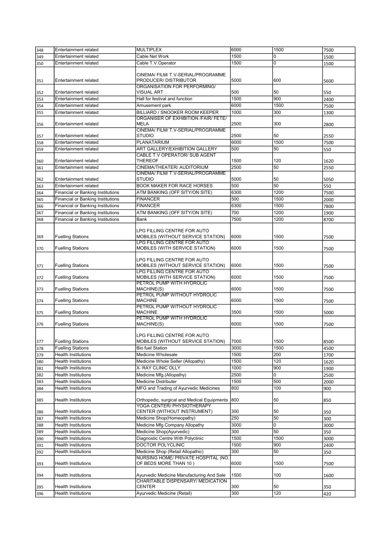| 348 | <b>Entertainment related</b>             | <b>MULTIPLEX</b>                                           | 6000 | 1500 | 7500 |
|-----|------------------------------------------|------------------------------------------------------------|------|------|------|
| 349 | Entertainment related                    | Cable Net Work                                             | 1500 | 0    | 1500 |
| 350 | Entertainment related                    | Cable T.V.Operator                                         | 1500 | 0    | 1500 |
|     |                                          |                                                            |      |      |      |
| 351 | <b>Entertainment related</b>             | CINEMA/ FILM/ T.V-SERIAL/PROGRAMME<br>PRODUCER/DISTRIBUTOR | 5000 | 600  | 5600 |
| 352 | Entertainment related                    | ORGANISATION FOR PERFORMING/<br><b>VISUAL ART</b>          | 500  | 50   | 550  |
| 353 | Entertainment related                    | Hall for festival and function                             | 1500 | 900  | 2400 |
| 354 | Entertainment related                    | Amusement park                                             | 6000 | 1500 | 7500 |
| 355 | Entertainment related                    | BILLIARD / SNOOKER ROOM KEEPER                             | 1000 | 300  | 1300 |
|     |                                          | <b>ORGANISER OF EXHIBITION /FAIR/ FETE/</b>                |      |      |      |
| 356 | Entertainment related                    | <b>MELA</b><br>CINEMA/ FILM/ T.V-SERIAL/PROGRAMME          | 2500 | 300  | 2800 |
| 357 | <b>Entertainment related</b>             | <b>STUDIO</b>                                              | 2500 | 50   | 2550 |
| 358 | Entertainment related                    | PLANATARIUM                                                | 6000 | 1500 | 7500 |
| 359 | Entertainment related                    | ART GALLERY/EXHIBITION GALLERY                             | 500  | 50   | 550  |
|     |                                          | <b>CABLE T.V OPERATOR/ SUB AGENT</b>                       |      |      |      |
| 360 | Entertainment related                    | <b>THEREOF</b>                                             | 1500 | 120  | 1620 |
| 361 | Entertainment related                    | CINEMA/THEATER/ AUDITORIUM                                 | 2500 | 50   | 2550 |
|     |                                          | CINEMA/ FILM/ T.V-SERIAL/PROGRAMME                         |      |      |      |
| 362 | Entertainment related                    | <b>STUDIO</b>                                              | 5000 | 50   | 5050 |
| 363 | Entertainment related                    | BOOK MAKER FOR RACE HORSES                                 | 500  | 50   | 550  |
| 364 | <b>Financial or Banking Institutions</b> | ATM BANKING (OFF SITY/ON SITE)                             | 6300 | 1200 | 7500 |
| 365 | <b>Financial or Banking Institutions</b> | <b>FINANCER</b>                                            | 500  | 1500 | 2000 |
| 366 | <b>Financial or Banking Institutions</b> | <b>FINANCER</b>                                            | 6300 | 1500 | 7800 |
| 367 | <b>Financial or Banking Institutions</b> | ATM BANKING (OFF SITY/ON SITE)                             | 700  | 1200 | 1900 |
|     |                                          |                                                            | 7500 | 1200 |      |
| 368 | Financial or Banking Institutions        | Bank                                                       |      |      | 8700 |
|     |                                          | LPG FILLING CENTRE FOR AUTO                                |      |      |      |
| 369 | <b>Fuelling Stations</b>                 | MOBILES (WITHOUT SERVICE STATION)                          | 6000 | 1500 | 7500 |
|     |                                          | LPG FILLING CENTRE FOR AUTO                                |      |      |      |
| 370 | <b>Fuelling Stations</b>                 | MOBILES (WITH SERVICE STATION)                             | 6000 | 1500 | 7500 |
|     |                                          |                                                            |      |      |      |
|     |                                          | LPG FILLING CENTRE FOR AUTO                                |      |      |      |
| 371 | <b>Fuelling Stations</b>                 | MOBILES (WITHOUT SERVICE STATION)                          | 6000 | 1500 | 7500 |
|     |                                          | LPG FILLING CENTRE FOR AUTO                                |      |      |      |
| 372 | <b>Fuelling Stations</b>                 | MOBILES (WITH SERVICE STATION)                             | 6000 | 1500 | 7500 |
|     |                                          | PETROL PUMP WITH HYDROLIC                                  |      |      |      |
| 373 | <b>Fuelling Stations</b>                 | MACHINE(S)                                                 | 6000 | 1500 | 7500 |
|     |                                          | PETROL PUMP WITHOUT HYDROLIC                               |      |      |      |
| 374 | <b>Fuelling Stations</b>                 | <b>MACHINE</b>                                             | 6000 | 1500 | 7500 |
|     |                                          | PETROL PUMP WITHOUT HYDROLIC                               |      |      |      |
| 375 | <b>Fuelling Stations</b>                 | <b>MACHINE</b>                                             | 3500 | 1500 | 5000 |
|     | <b>Fuelling Stations</b>                 | PETROL PUMP WITH HYDROLIC<br>MACHINE(S)                    | 6000 | 1500 |      |
| 376 |                                          |                                                            |      |      | 7500 |
|     |                                          | LPG FILLING CENTRE FOR AUTO                                |      |      |      |
| 377 | <b>Fuelling Stations</b>                 | MOBILES (WITHOUT SERVICE STATION)                          | 7000 | 1500 | 8500 |
| 378 | <b>Fuelling Stations</b>                 | <b>Bio fuel Station</b>                                    | 3000 | 1500 | 4500 |
|     | <b>Health Institutions</b>               | Medicine Wholesale                                         | 1500 |      |      |
| 379 |                                          |                                                            |      | 200  | 1700 |
| 380 | Health Institutions                      | Medicine Whole Seller (Allopathy)                          | 1500 | 120  | 1620 |
| 381 | <b>Health Institutions</b>               | X- RAY CLINIC OLLY                                         | 1000 | 900  | 1900 |
| 382 | <b>Health Institutions</b>               | Medicine Mfg.(Allopathy)                                   | 2500 | 0    | 2500 |
| 383 | <b>Health Institutions</b>               | <b>Medicine Distributer</b>                                | 1500 | 500  | 2000 |
| 384 | <b>Health Institutions</b>               | MFG and Trading of Ayurvedic Medicines                     | 800  | 100  | 900  |
| 385 | <b>Health Institutions</b>               | Orthopedic, surgical and Medical Equipments                | 800  | 50   | 850  |
|     | <b>Health Institutions</b>               | YOGA CENTER/ PHYSIOTHERAPY<br>CENTER (WITHOUT INSTRUMENT)  | 300  | 50   |      |
| 386 |                                          |                                                            |      |      | 350  |
| 387 | Health Institutions                      | Medicine Shop(Homeopathy)                                  | 250  | 50   | 300  |
| 388 | <b>Health Institutions</b>               | Medicine Mfg Company Allopathy                             | 3000 | 0    | 3000 |
| 389 | <b>Health Institutions</b>               | Medicine Shop(Ayurvedic)                                   | 300  | 50   | 350  |
| 390 | Health Institutions                      | Diagnostic Centre With Polyclinic                          | 1500 | 1500 | 3000 |
| 391 | Health Institutions                      | DOCTOR POLYCLINIC                                          | 1500 | 900  | 2400 |
| 392 | <b>Health Institutions</b>               | Medicine Shop (Retail Allopathic)                          | 300  | 50   | 350  |
|     |                                          | NURSING HOME/ PRIVATE HOSPITAL (NO.                        |      |      |      |
| 393 | Health Institutions                      | OF BEDS MORE THAN 10 )                                     | 6000 | 1500 | 7500 |
|     |                                          |                                                            |      |      |      |
| 394 | Health Institutions                      | Ayurvedic Medicine Manufacturing And Sale                  | 1500 | 100  | 1600 |
|     |                                          | <b>CHARITABLE DISPENSARY/ MEDICATION</b>                   |      |      |      |
| 395 | <b>Health Institutions</b>               | <b>CENTER</b>                                              | 300  | 50   | 350  |
| 396 | <b>Health Institutions</b>               | Ayurvedic Medicine (Retail)                                | 300  | 120  | 420  |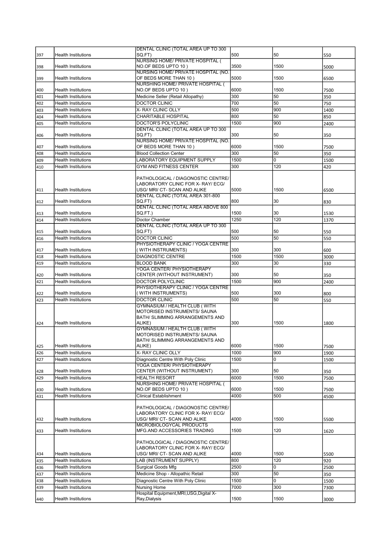| 397        | <b>Health Institutions</b>                               | DENTAL CLINIC (TOTAL AREA UP TO 300<br>SQ.FT)                            | 500         | 50          | 550  |
|------------|----------------------------------------------------------|--------------------------------------------------------------------------|-------------|-------------|------|
|            |                                                          | <b>NURSING HOME/ PRIVATE HOSPITAL (</b>                                  |             |             |      |
| 398        | <b>Health Institutions</b>                               | NO.OF BEDS UPTO 10)                                                      | 3500        | 1500        | 5000 |
|            |                                                          | NURSING HOME/ PRIVATE HOSPITAL (NO.                                      | 5000        | 1500        |      |
| 399        | <b>Health Institutions</b>                               | OF BEDS MORE THAN 10)<br><b>NURSHING HOME/ PRIVATE HOSPITAL (</b>        |             |             | 6500 |
| 400        | <b>Health Institutions</b>                               | NO.OF BEDS UPTO 10)                                                      | 6000        | 1500        | 7500 |
| 401        | <b>Health Institutions</b>                               | Medicine Seller (Retail Allopathy)                                       | 300         | 50          | 350  |
| 402        | <b>Health Institutions</b>                               | <b>DOCTOR CLINIC</b>                                                     | 700         | 50          | 750  |
| 403        | <b>Health Institutions</b>                               | X- RAY CLINIC OLLY                                                       | 500         | 900         | 1400 |
| 404        | <b>Health Institutions</b>                               | CHARITABLE HOSPITAL                                                      | 800         | 50          | 850  |
| 405        | <b>Health Institutions</b>                               | DOCTOR'S POLYCLINIC                                                      | 1500        | 900         | 2400 |
| 406        | <b>Health Institutions</b>                               | DENTAL CLINIC (TOTAL AREA UP TO 300<br>SQ.FT)                            | 300         | 50          | 350  |
|            |                                                          | NURSING HOME/ PRIVATE HOSPITAL (NO.                                      |             |             |      |
| 407        | <b>Health Institutions</b>                               | OF BEDS MORE THAN 10)                                                    | 6000        | 1500        | 7500 |
| 408        | <b>Health Institutions</b>                               | <b>Blood Collection Center</b>                                           | 300         | 50          | 350  |
| 409        | <b>Health Institutions</b>                               | LABORATORY EQUIPMENT SUPPLY                                              | 1500        | 0           | 1500 |
| 410        | <b>Health Institutions</b>                               | <b>GYM AND FITNESS CENTER</b>                                            | 300         | 120         | 420  |
|            |                                                          | PATHOLOGICAL / DIAGONOSTIC CENTRE/                                       |             |             |      |
|            |                                                          | LABORATORY CLINIC FOR X- RAY/ ECG/                                       |             |             |      |
| 411        | <b>Health Institutions</b>                               | USG/ MRI/ CT- SCAN AND ALIKE                                             | 5000        | 1500        | 6500 |
|            |                                                          | DENTAL CLINIC (TOTAL AREA 301-800                                        |             |             |      |
| 412        | <b>Health Institutions</b>                               | SQ.FT)                                                                   | 800         | 30          | 830  |
| 413        | <b>Health Institutions</b>                               | DENTAL CLINIC (TOTAL AREA ABOVE 800<br>SQ.FT.)                           | 1500        | 30          | 1530 |
| 414        | <b>Health Institutions</b>                               | Doctor Chamber                                                           | 1250        | 120         | 1370 |
|            |                                                          | <b>DENTAL CLINIC (TOTAL AREA UP TO 300</b>                               |             |             |      |
| 415        | <b>Health Institutions</b>                               | SQ.FT)                                                                   | 500         | 50          | 550  |
| 416        | <b>Health Institutions</b>                               | <b>DOCTOR CLINIC</b>                                                     | 500         | 50          | 550  |
|            |                                                          | PHYSIOTHERAPY CLINIC / YOGA CENTRE                                       |             |             |      |
| 417        | <b>Health Institutions</b><br><b>Health Institutions</b> | (WITH INSTRUMENTS)<br><b>DIAGNOSTIC CENTRE</b>                           | 300<br>1500 | 300<br>1500 | 600  |
| 418<br>419 | <b>Health Institutions</b>                               | <b>BLOOD BANK</b>                                                        | 300         | 30          | 3000 |
|            |                                                          | YOGA CENTER/ PHYSIOTHERAPY                                               |             |             | 330  |
| 420        | <b>Health Institutions</b>                               | CENTER (WITHOUT INSTRUMENT)                                              | 300         | 50          | 350  |
| 421        | <b>Health Institutions</b>                               | DOCTOR POLYCLINIC                                                        | 1500        | 900         | 2400 |
|            |                                                          | PHYSIOTHERAPY CLINIC / YOGA CENTRE                                       |             |             |      |
| 422        | <b>Health Institutions</b><br><b>Health Institutions</b> | ( WITH INSTRUMENTS)                                                      | 500         | 300         | 800  |
| 423        |                                                          | <b>DOCTOR CLINIC</b><br><b>GYMNASIUM / HEALTH CLUB (WITH</b>             | 500         | 50          | 550  |
|            |                                                          | MOTORISED INSTRUMENTS/ SAUNA                                             |             |             |      |
|            |                                                          | BATH/ SLIMMING ARRANGEMENTS AND                                          |             |             |      |
| 424        | <b>Health Institutions</b>                               | ALIKE)                                                                   | 300         | 1500        | 1800 |
|            |                                                          | GYMNASIUM / HEALTH CLUB (WITH<br>MOTORISED INSTRUMENTS/ SAUNA            |             |             |      |
|            |                                                          | BATH/ SLIMMING ARRANGEMENTS AND                                          |             |             |      |
| 425        | Health Institutions                                      | ALIKE)                                                                   | 6000        | 1500        | 7500 |
| 426        | <b>Health Institutions</b>                               | X- RAY CLINIC OLLY                                                       | 1000        | 900         | 1900 |
| 427        | Health Institutions                                      | Diagnostic Centre With Poly Clinic                                       | 1500        | 0           | 1500 |
|            | Health Institutions                                      | YOGA CENTER/ PHYSIOTHERAPY<br>CENTER (WITHOUT INSTRUMENT)                | 300         | 50          | 350  |
| 428<br>429 | <b>Health Institutions</b>                               | <b>HEALTH RESORT</b>                                                     | 6000        | 1500        | 7500 |
|            |                                                          | NURSHING HOME/ PRIVATE HOSPITAL (                                        |             |             |      |
| 430        | <b>Health Institutions</b>                               | NO.OF BEDS UPTO 10)                                                      | 6000        | 1500        | 7500 |
| 431        | <b>Health Institutions</b>                               | <b>Clinical Establishment</b>                                            | 4000        | 500         | 4500 |
|            |                                                          |                                                                          |             |             |      |
|            |                                                          | PATHOLOGICAL / DIAGONOSTIC CENTRE/<br>LABORATORY CLINIC FOR X- RAY/ ECG/ |             |             |      |
| 432        | <b>Health Institutions</b>                               | USG/ MRI/ CT- SCAN AND ALIKE                                             | 4000        | 1500        | 5500 |
|            |                                                          | MICROBIOLOGYCAL PRODUCTS                                                 |             |             |      |
| 433        | <b>Health Institutions</b>                               | MFG.AND ACCESSORIES TRADING                                              | 1500        | 120         | 1620 |
|            |                                                          | PATHOLOGICAL / DIAGONOSTIC CENTRE/                                       |             |             |      |
|            |                                                          | LABORATORY CLINIC FOR X- RAY/ ECG/                                       |             |             |      |
| 434        | <b>Health Institutions</b>                               | USG/ MRI/ CT- SCAN AND ALIKE                                             | 4000        | 1500        | 5500 |
| 435        | <b>Health Institutions</b>                               | LAB (INSTRUMENT SUPPLY)                                                  | 800         | 120         | 920  |
| 436        | <b>Health Institutions</b>                               | Surgical Goods Mfg                                                       | 2500        | 0           | 2500 |
| 437        | Health Institutions                                      | Medicine Shop - Allopathic Retail                                        | 300         | 50          | 350  |
| 438        | Health Institutions                                      | Diagnostic Centre With Poly Clinic                                       | 1500        | 0           | 1500 |
| 439        | Health Institutions                                      | Nursing Home                                                             | 7000        | 300         | 7300 |
| 440        | Health Institutions                                      | Hospital Equipment, MRI, USG, Digital X-<br>Ray, Dialysis                | 1500        | 1500        | 3000 |
|            |                                                          |                                                                          |             |             |      |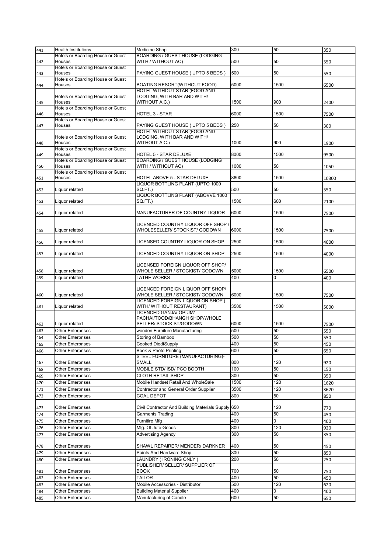| 441 | <b>Health Institutions</b>                  | Medicine Shop                                      | 300  | 50   | 350   |
|-----|---------------------------------------------|----------------------------------------------------|------|------|-------|
|     | <b>Hotels or Boarding House or Guest</b>    | <b>BOARDING / GUEST HOUSE (LODGING</b>             |      |      |       |
| 442 | Houses                                      | WITH / WITHOUT AC)                                 | 500  | 50   | 550   |
|     | Hotels or Boarding House or Guest           |                                                    |      |      |       |
| 443 | Houses                                      | PAYING GUEST HOUSE (UPTO 5 BEDS)                   | 500  | 50   | 550   |
|     | Hotels or Boarding House or Guest           |                                                    |      |      |       |
| 444 | Houses                                      | BOATING RESORT (WITHOUT FOOD)                      | 5000 | 1500 | 6500  |
|     |                                             | HOTEL WITHOUT STAR (FOOD AND                       |      |      |       |
|     | Hotels or Boarding House or Guest           | LODGING, WITH BAR AND WITH/                        |      |      |       |
| 445 | Houses                                      | WITHOUT A.C.)                                      | 1500 | 900  | 2400  |
|     | Hotels or Boarding House or Guest           |                                                    |      |      |       |
| 446 | Houses                                      | <b>HOTEL 3 - STAR</b>                              | 6000 | 1500 | 7500  |
|     | Hotels or Boarding House or Guest           |                                                    |      |      |       |
| 447 | Houses                                      | PAYING GUEST HOUSE (UPTO 5 BEDS)                   | 250  | 50   | 300   |
|     |                                             | HOTEL WITHOUT STAR (FOOD AND                       |      |      |       |
|     | Hotels or Boarding House or Guest           | LODGING, WITH BAR AND WITH/                        |      |      |       |
| 448 | Houses                                      | WITHOUT A.C.)                                      | 1000 | 900  | 1900  |
|     | Hotels or Boarding House or Guest<br>Houses | HOTEL 5 - STAR DELUXE                              | 8000 | 1500 |       |
| 449 | Hotels or Boarding House or Guest           | <b>BOARDING / GUEST HOUSE (LODGING</b>             |      |      | 9500  |
|     | Houses                                      | WITH / WITHOUT AC)                                 | 1000 | 50   | 1050  |
| 450 | Hotels or Boarding House or Guest           |                                                    |      |      |       |
| 451 | Houses                                      | HOTEL ABOVE 5 - STAR DELUXE                        | 8800 | 1500 | 10300 |
|     |                                             | LIQUOR BOTTLING PLANT (UPTO 1000                   |      |      |       |
| 452 | Liquor related                              | SQ.FT.)                                            | 500  | 50   | 550   |
|     |                                             | LIQUOR BOTTLING PLANT (ABOVVE 1000                 |      |      |       |
| 453 | Liquor related                              | SQ.FT.)                                            | 1500 | 600  | 2100  |
|     |                                             |                                                    |      |      |       |
| 454 | Liquor related                              | MANUFACTURER OF COUNTRY LIQUOR                     | 6000 | 1500 | 7500  |
|     |                                             |                                                    |      |      |       |
|     |                                             | LICENCED COUNTRY LIQUOR OFF SHOP /                 |      |      |       |
| 455 | Liquor related                              | WHOLESELLER/ STOCKIST/ GODOWN                      | 6000 | 1500 | 7500  |
|     |                                             |                                                    |      |      |       |
| 456 | Liquor related                              | LICENSED COUNTRY LIQUOR ON SHOP                    | 2500 | 1500 | 4000  |
|     |                                             |                                                    |      |      |       |
| 457 | Liquor related                              | LICENCED COUNTRY LIQUOR ON SHOP                    | 2500 | 1500 | 4000  |
|     |                                             |                                                    |      |      |       |
|     |                                             | LICENSED FOREIGN LIQUOR OFF SHOP/                  |      |      |       |
|     | Liquor related                              | WHOLE SELLER / STOCKIST/ GODOWN                    | 5000 | 1500 | 6500  |
| 458 |                                             |                                                    |      |      |       |
| 459 | Liquor related                              | LATHE WORKS                                        | 400  | 0    | 400   |
|     |                                             |                                                    |      |      |       |
|     |                                             | LICENCED FOREIGN LIQUOR OFF SHOP/                  |      |      |       |
| 460 | Liquor related                              | WHOLE SELLER / STOCKIST/ GODOWN                    | 6000 | 1500 | 7500  |
|     |                                             | LICENCED FOREIGN LIQUOR ON SHOP (                  |      |      |       |
| 461 | Liquor related                              | WITH/ WITHOUT RESTAURANT)                          | 3500 | 1500 | 5000  |
|     |                                             | LICENCED GANJA/ OPIUM/                             |      |      |       |
|     |                                             | PACHAI/TOOD/BHANGH SHOP/WHOLE                      |      |      |       |
| 462 | Liquor related                              | SELLER/ STOCKIST/GODOWN                            | 6000 | 1500 | 7500  |
| 463 | <b>Other Enterprises</b>                    | wooden Furniture Manufacturing                     | 500  | 50   | 550   |
| 464 | <b>Other Enterprises</b>                    | Storing of Bamboo                                  | 500  | 50   | 550   |
| 465 | <b>Other Enterprises</b>                    | Cooked DiedtSupply                                 | 400  | 50   | 450   |
| 466 | Other Enterprises                           | Book & Photo Printing                              | 600  | 50   | 650   |
|     |                                             | STEEL FURNITURE (MANUFACTURING)-                   |      |      |       |
| 467 | <b>Other Enterprises</b>                    | SMALL                                              | 800  | 120  | 920   |
| 468 | Other Enterprises                           | MOBILE STD/ ISD/ PCO BOOTH                         | 100  | 50   | 150   |
| 469 | Other Enterprises                           | <b>CLOTH RETAIL SHOP</b>                           | 300  | 50   | 350   |
| 470 | <b>Other Enterprises</b>                    | Mobile Handset Retail And WholeSale                | 1500 | 120  | 1620  |
|     | Other Enterprises                           |                                                    | 3500 | 120  |       |
| 471 |                                             | Contractor and General Order Supplier              |      |      | 3620  |
| 472 | Other Enterprises                           | COAL DEPOT                                         | 800  | 50   | 850   |
|     |                                             |                                                    |      | 120  |       |
| 473 | <b>Other Enterprises</b>                    | Civil Contractor And Building Materials Supply 650 |      |      | 770   |
| 474 | Other Enterprises                           | Garments Trading                                   | 400  | 50   | 450   |
| 475 | <b>Other Enterprises</b>                    | <b>Furnitire Mfg</b>                               | 400  | 0    | 400   |
| 476 | <b>Other Enterprises</b>                    | Mfg. Of Jute Goods                                 | 800  | 120  | 920   |
| 477 | Other Enterprises                           | <b>Advertising Agency</b>                          | 300  | 50   | 350   |
|     |                                             |                                                    |      |      |       |
| 478 | <b>Other Enterprises</b>                    | SHAWL REPAIRER/ MENDER/ DARKNER                    | 400  | 50   | 450   |
| 479 | <b>Other Enterprises</b>                    | Paints And Hardware Shop                           | 800  | 50   | 850   |
| 480 | Other Enterprises                           | LAUNDRY ( IRONING ONLY )                           | 200  | 50   | 250   |
|     |                                             | PUBLISHER/ SELLER/ SUPPLIER OF                     |      |      |       |
| 481 | Other Enterprises                           | BOOK                                               | 700  | 50   | 750   |
| 482 | Other Enterprises                           | <b>TAILOR</b>                                      | 400  | 50   | 450   |
| 483 | Other Enterprises                           | Mobile Accessories - Distributor                   | 500  | 120  | 620   |
| 484 | <b>Other Enterprises</b>                    | <b>Building Material Supplier</b>                  | 400  | 0    | 400   |
| 485 | Other Enterprises                           | Manufacturing of Candle                            | 600  | 50   | 650   |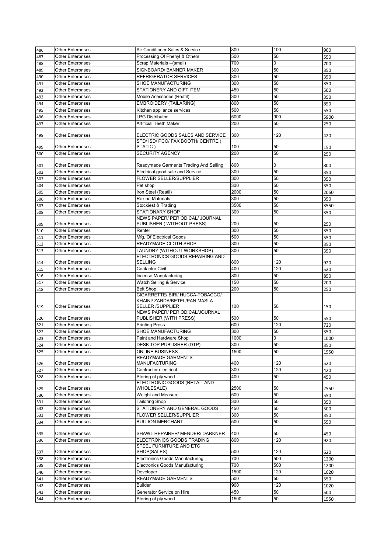| 486 | <b>Other Enterprises</b> | Air Conditioner Sales & Service                                   | 800  | 100 | 900  |
|-----|--------------------------|-------------------------------------------------------------------|------|-----|------|
| 487 | <b>Other Enterprises</b> | Processing Of Phenyl & Others                                     | 500  | 50  | 550  |
| 488 | Other Enterprises        | Scrap Materials --(small)                                         | 700  | 0   | 700  |
| 489 | Other Enterprises        | SIGNBOARD/ BANNER MAKER                                           | 300  | 50  | 350  |
| 490 | <b>Other Enterprises</b> | REFRIGERATOR SERVICES                                             | 300  | 50  | 350  |
| 491 | Other Enterprises        | SHOE MANUFACTURING                                                | 300  | 50  | 350  |
|     | <b>Other Enterprises</b> | STATIONERY AND GIFT ITEM                                          | 450  | 50  | 500  |
| 492 |                          |                                                                   |      |     |      |
| 493 | Other Enterprises        | Mobile Acessories (Reatil)                                        | 300  | 50  | 350  |
| 494 | <b>Other Enterprises</b> | <b>EMBROIDERY (TAILARING)</b>                                     | 800  | 50  | 850  |
| 495 | <b>Other Enterprises</b> | Kitchen appliance services                                        | 500  | 50  | 550  |
| 496 | Other Enterprises        | <b>LPG Distributor</b>                                            | 5000 | 900 | 5900 |
| 497 | <b>Other Enterprises</b> | Artificial Teeth Maker                                            | 200  | 50  | 250  |
| 498 | <b>Other Enterprises</b> | ELECTRIC GOODS SALES AND SERVICE                                  | 300  | 120 | 420  |
| 499 | <b>Other Enterprises</b> | STD/ ISD/ PCO/ FAX BOOTH/ CENTRE (<br>STATIC )                    | 100  | 50  | 150  |
| 500 | Other Enterprises        | <b>SECURITY AGENCY</b>                                            | 200  | 50  | 250  |
|     |                          |                                                                   |      |     |      |
| 501 | <b>Other Enterprises</b> | Readymade Garments Trading And Selling                            | 800  | 0   | 800  |
| 502 | Other Enterprises        | Electrical good sale and Service                                  | 300  | 50  | 350  |
| 503 | <b>Other Enterprises</b> | <b>FLOWER SELLER/SUPPLIER</b>                                     | 300  | 50  | 350  |
| 504 | Other Enterprises        | Pet shop                                                          | 300  | 50  | 350  |
| 505 | Other Enterprises        | Iron Steel (Reatil)                                               | 2000 | 50  | 2050 |
| 506 | Other Enterprises        | <b>Rexine Materials</b>                                           | 300  | 50  | 350  |
| 507 | Other Enterprises        | Stockiest & Trading                                               | 3500 | 50  | 3550 |
|     | Other Enterprises        | STATIONARY SHOP                                                   | 300  | 50  |      |
| 508 |                          | NEWS PAPER/ PERIODICAL/ JOURNAL                                   |      |     | 350  |
| 509 | <b>Other Enterprises</b> | PUBLISHER (WITHOUT PRESS)                                         | 200  | 50  | 250  |
| 510 | <b>Other Enterprises</b> | Renter                                                            | 300  | 50  | 350  |
|     | <b>Other Enterprises</b> | Mfg. Of Electrical Goods                                          | 500  | 50  |      |
| 511 |                          |                                                                   |      |     | 550  |
| 512 | <b>Other Enterprises</b> | READYMADE CLOTH SHOP                                              | 300  | 50  | 350  |
| 513 | Other Enterprises        | LAUNDRY (WITHOUT WORKSHOP)                                        | 300  | 50  | 350  |
| 514 | <b>Other Enterprises</b> | ELECTRONICS GOODS REPAIRING AND<br>SELLING                        | 800  | 120 | 920  |
| 515 | <b>Other Enterprises</b> | <b>Contactor Civil</b>                                            | 400  | 120 | 520  |
| 516 | Other Enterprises        | Incense Manufacturing                                             | 800  | 50  | 850  |
| 517 | Other Enterprises        | Watch Selling & Service                                           | 150  | 50  | 200  |
| 518 | <b>Other Enterprises</b> | <b>Belt Shop</b>                                                  | 200  | 50  | 250  |
|     |                          | CIGARRETTE/ BIRI/ HUCCA-TOBACCO/<br>KHAINI/ ZARDA/BETEL/PAN MASLA |      |     |      |
| 519 | <b>Other Enterprises</b> | SELLER /SUPPLIER<br>NEWS PAPER/ PERIODICAL/JOURNAL                | 100  | 50  | 150  |
| 520 | <b>Other Enterprises</b> | PUBLISHER (WITH PRESS)                                            | 500  | 50  | 550  |
| 521 | Other Enterprises        | <b>Printing Press</b>                                             | 600  | 120 | 720  |
| 522 | Other Enterprises        | SHOE MANUFACTURING                                                | 300  | 50  | 350  |
| 523 | <b>Other Enterprises</b> | Paint and Hardware Shop                                           | 1000 | 0   | 1000 |
|     | Other Enterprises        | <b>DESK TOP PUBLISHER (DTP)</b>                                   | 300  | 50  |      |
| 524 |                          | <b>ONLINE BUSINESS</b>                                            |      | 50  | 350  |
| 525 | Other Enterprises        | READYMADE GARMENTS                                                | 1500 |     | 1550 |
|     | <b>Other Enterprises</b> | <b>MANUFACTURING</b>                                              | 400  | 120 | 520  |
| 526 | Other Enterprises        | Contractor electrical                                             | 300  | 120 |      |
| 527 |                          |                                                                   | 400  | 50  | 420  |
| 528 | Other Enterprises        | Storing of ply wood<br>ELECTRONIC GOODS (RETAIL AND               |      |     | 450  |
| 529 | <b>Other Enterprises</b> | <b>WHOLESALE)</b>                                                 | 2500 | 50  | 2550 |
| 530 | <b>Other Enterprises</b> | Weight and Measure                                                | 500  | 50  | 550  |
| 531 | Other Enterprises        | <b>Tailoring Shop</b>                                             | 300  | 50  | 350  |
| 532 | <b>Other Enterprises</b> | STATIONERY AND GENERAL GOODS                                      | 450  | 50  | 500  |
| 533 | <b>Other Enterprises</b> | FLOWER SELLER/SUPPLIER                                            | 300  | 50  | 350  |
| 534 | Other Enterprises        | <b>BULLION MERCHANT</b>                                           | 500  | 50  | 550  |
|     |                          |                                                                   |      |     |      |
| 535 | Other Enterprises        | SHAWL REPAIRER/ MENDER/ DARKNER                                   | 400  | 50  | 450  |
| 536 | Other Enterprises        | ELECTRONICS GOODS TRADING<br>STEEL FURNITURE AND ETC              | 800  | 120 | 920  |
| 537 | Other Enterprises        | SHOP(SALES)                                                       | 500  | 120 | 620  |
| 538 | <b>Other Enterprises</b> | <b>Electronics Goods Manufacturing</b>                            | 700  | 500 | 1200 |
| 539 | Other Enterprises        | <b>Electronics Goods Manufacturing</b>                            | 700  | 500 | 1200 |
| 540 | <b>Other Enterprises</b> | Developer                                                         | 1500 | 120 | 1620 |
| 541 | Other Enterprises        | READYMADE GARMENTS                                                | 500  | 50  | 550  |
| 542 | Other Enterprises        | <b>Builder</b>                                                    | 900  | 120 | 1020 |
|     | Other Enterprises        | Generator Service on Hire                                         | 450  |     |      |
| 543 |                          |                                                                   |      | 50  | 500  |
| 544 | <b>Other Enterprises</b> | Storing of ply wood                                               | 1500 | 50  | 1550 |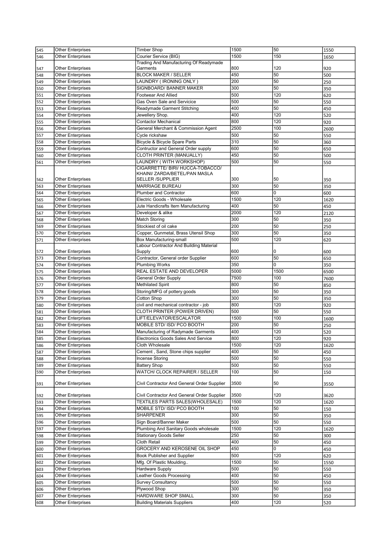| 545 | <b>Other Enterprises</b> | <b>Timber Shop</b>                                                                           | 1500       | 50   | 1550 |
|-----|--------------------------|----------------------------------------------------------------------------------------------|------------|------|------|
| 546 | Other Enterprises        | Courier Service (BIG)                                                                        | 1500       | 150  | 1650 |
|     |                          | Trading And Manufacturing Of Readymade                                                       |            |      |      |
| 547 | <b>Other Enterprises</b> | Garments                                                                                     | 800        | 120  | 920  |
| 548 | <b>Other Enterprises</b> | <b>BLOCK MAKER / SELLER</b>                                                                  | 450        | 50   | 500  |
| 549 | Other Enterprises        | LAUNDRY ( IRONING ONLY )                                                                     | 200        | 50   | 250  |
| 550 | <b>Other Enterprises</b> | SIGNBOARD/ BANNER MAKER                                                                      | 300        | 50   | 350  |
| 551 | <b>Other Enterprises</b> | <b>Footwear And Allied</b>                                                                   | 500        | 120  | 620  |
|     | <b>Other Enterprises</b> | Gas Oven Sale and Servicice                                                                  | 500        | 50   |      |
| 552 |                          |                                                                                              |            | 50   | 550  |
| 553 | Other Enterprises        | Readymade Garment Stitching                                                                  | 400        |      | 450  |
| 554 | Other Enterprises        | Jewellery Shop.                                                                              | 400        | 120  | 520  |
| 555 | <b>Other Enterprises</b> | <b>Contactor Mechanical</b>                                                                  | 800        | 120  | 920  |
| 556 | Other Enterprises        | General Merchant & Commission Agent                                                          | 2500       | 100  | 2600 |
| 557 | <b>Other Enterprises</b> | Cycle rickshaw                                                                               | 500        | 50   | 550  |
| 558 | <b>Other Enterprises</b> | Bicycle & Bicycle Spare Parts                                                                | 310        | 50   | 360  |
| 559 | Other Enterprises        | Contructor and General Order supply                                                          | 600        | 50   | 650  |
| 560 | <b>Other Enterprises</b> | CLOTH PRINTER (MANUALLY)                                                                     | 450        | 50   | 500  |
| 561 | Other Enterprises        | LAUNDRY (WITH WORKSHOP)                                                                      | 500        | 50   | 550  |
| 562 | <b>Other Enterprises</b> | CIGARRETTE/ BIRI/ HUCCA-TOBACCO/<br>KHAINI/ ZARDA/BETEL/PAN MASLA<br><b>SELLER /SUPPLIER</b> | 300        | 50   | 350  |
| 563 | Other Enterprises        | <b>MARRIAGE BUREAU</b>                                                                       | 300        | 50   | 350  |
| 564 | <b>Other Enterprises</b> | <b>Plumber and Contractor</b>                                                                | 600        | 0    | 600  |
| 565 | Other Enterprises        | Electric Goods - Wholesale                                                                   | 1500       | 120  | 1620 |
| 566 | <b>Other Enterprises</b> | Jute Handicrafts Item Manufacturing                                                          | 400        | 50   | 450  |
| 567 | <b>Other Enterprises</b> | Developer & alike                                                                            | 2000       | 120  | 2120 |
|     | Other Enterprises        | <b>Match Storing</b>                                                                         | 300        | 50   | 350  |
| 568 | <b>Other Enterprises</b> | Stockiest of oil cake                                                                        | 200        | 50   |      |
| 569 |                          |                                                                                              |            |      | 250  |
| 570 | Other Enterprises        | Copper, Gunmetal, Brass Utensil Shop                                                         | 300        | 50   | 350  |
| 571 | Other Enterprises        | Box Manufacturing-small                                                                      | 500        | 120  | 620  |
|     |                          | Labour Contractor And Building Material                                                      | 600        |      |      |
| 572 | Other Enterprises        | Supply                                                                                       |            | 0    | 600  |
| 573 | Other Enterprises        | Contractor, General order Supplier                                                           | 600        | 50   | 650  |
| 574 | Other Enterprises        | <b>Plumbing Works</b>                                                                        | 350        | 0    | 350  |
| 575 | <b>Other Enterprises</b> | REAL ESTATE AND DEVELOPER                                                                    | 5000       | 1500 | 6500 |
|     |                          |                                                                                              |            |      |      |
| 576 | <b>Other Enterprises</b> | General Order Supply                                                                         | 7500       | 100  | 7600 |
| 577 | <b>Other Enterprises</b> | <b>Methilated Spirit</b>                                                                     | 800        | 50   | 850  |
| 578 | Other Enterprises        | Storing/MFG of pottery goods                                                                 | 300        | 50   | 350  |
| 579 | Other Enterprises        | Cotton Shop                                                                                  | 300        | 50   | 350  |
| 580 | <b>Other Enterprises</b> | civil and mechanical contractor - job                                                        | 800        | 120  | 920  |
| 581 | Other Enterprises        | CLOTH PRINTER (POWER DRIVEN)                                                                 | 500        | 50   | 550  |
| 582 | Other Enterprises        | LIFT/ELEVATOR/ESCALATOR                                                                      | 1500       | 100  | 1600 |
|     |                          | MOBILE STD/ ISD/ PCO BOOTH                                                                   | 200        | 50   |      |
| 583 | Other Enterprises        |                                                                                              |            |      | 250  |
| 584 | Other Enterprises        | Manufacturing of Radymade Garments                                                           | 400        | 120  | 520  |
| 585 | <b>Other Enterprises</b> | Electronics Goods Sales And Service                                                          | 800        | 120  | 920  |
| 586 | <b>Other Enterprises</b> | Cloth Wholesale                                                                              | 1500       | 120  | 1620 |
| 587 | Other Enterprises        | Cement, Sand, Stone chips supplier                                                           | 400        | 50   | 450  |
| 588 | Other Enterprises        | Incense Storing                                                                              | 500        | 50   | 550  |
| 589 | Other Enterprises        | <b>Battery Shop</b>                                                                          | 500        | 50   | 550  |
| 590 | <b>Other Enterprises</b> | WATCH/ CLOCK REPAIRER / SELLER                                                               | 100        | 50   | 150  |
| 591 | Other Enterprises        | Civil Contractor And General Order Supplier                                                  | 3500       | 50   | 3550 |
| 592 | <b>Other Enterprises</b> | Civil Contractor And General Order Supplier                                                  | 3500       | 120  | 3620 |
| 593 | Other Enterprises        | TEXTILES PARTS SALES(WHOLESALE)                                                              | 1500       | 120  | 1620 |
| 594 | <b>Other Enterprises</b> | MOBILE STD/ ISD/ PCO BOOTH                                                                   | 100        | 50   | 150  |
| 595 | <b>Other Enterprises</b> | SHARPENER                                                                                    | 300        | 50   |      |
|     |                          | Sign Board/Banner Maker                                                                      | 500        | 50   | 350  |
| 596 | Other Enterprises        |                                                                                              |            |      | 550  |
| 597 | Other Enterprises        | Plumbing And Sanitary Goods wholesale                                                        | 1500       | 120  | 1620 |
| 598 | Other Enterprises        | <b>Stationary Goods Seller</b>                                                               | 250        | 50   | 300  |
| 599 | Other Enterprises        | Cloth Retail                                                                                 | 400        | 50   | 450  |
| 600 | Other Enterprises        | GROCERY AND KEROSENE OIL SHOP                                                                | 450        | 0    | 450  |
| 601 | Other Enterprises        | Book Publisher and Supplier                                                                  | 500        | 120  | 620  |
| 602 | <b>Other Enterprises</b> | Mfg. Of Plastic Moulding                                                                     | 1500       | 50   | 1550 |
| 603 | <b>Other Enterprises</b> | <b>Hardware Supply</b>                                                                       | 500        | 50   | 550  |
| 604 | Other Enterprises        | Leather Goods Processing                                                                     | 400        | 50   | 450  |
| 605 | <b>Other Enterprises</b> | <b>Survey Consultancy</b>                                                                    | 500        | 50   | 550  |
| 606 | Other Enterprises        | Plywood Shop                                                                                 | 300        | 50   | 350  |
| 607 | Other Enterprises        | HARDWARE SHOP SMALL                                                                          | 300<br>400 | 50   | 350  |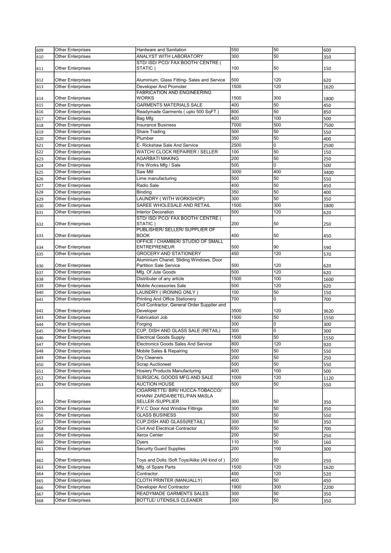| 609 | <b>Other Enterprises</b> | Hardware and Sanitation                        | 550  | 50  | 600  |
|-----|--------------------------|------------------------------------------------|------|-----|------|
| 610 | Other Enterprises        | ANALYST WITH LABORATORY                        | 300  | 50  | 350  |
|     |                          | STD/ ISD/ PCO/ FAX BOOTH/ CENTRE (             |      |     |      |
| 611 | Other Enterprises        | STATIC)                                        | 100  | 50  | 150  |
|     |                          |                                                |      |     |      |
| 612 | <b>Other Enterprises</b> | Aluminium, Glass Fitting- Sales and Service    | 500  | 120 | 620  |
| 613 | Other Enterprises        | Developer And Promoter                         | 1500 | 120 | 1620 |
|     |                          | <b>FABRICATION AND ENGINEERING</b>             |      |     |      |
| 614 | Other Enterprises        | <b>WORKS</b>                                   | 1500 | 300 | 1800 |
| 615 | Other Enterprises        | <b>GARMENTS MATERIALS SALE</b>                 | 400  | 50  | 450  |
|     | <b>Other Enterprises</b> | Readymade Garments (upto 500 SqFT.)            | 800  | 50  | 850  |
| 616 |                          |                                                |      |     |      |
| 617 | Other Enterprises        | Bag Mfg                                        | 400  | 100 | 500  |
| 618 | <b>Other Enterprises</b> | <b>Insurance Business</b>                      | 7000 | 500 | 7500 |
| 619 | Other Enterprises        | Share Trading                                  | 500  | 50  | 550  |
| 620 | <b>Other Enterprises</b> | Plumber                                        | 350  | 50  | 400  |
| 621 | <b>Other Enterprises</b> | E- Rickshaw Sale And Service                   | 2500 | 0   | 2500 |
| 622 | Other Enterprises        | WATCH/ CLOCK REPAIRER / SELLER                 | 100  | 50  | 150  |
| 623 | <b>Other Enterprises</b> | <b>AGARBATI MAKING</b>                         | 200  | 50  | 250  |
| 624 | Other Enterprises        | Fire Works Mfg / Sale                          | 500  | 0   | 500  |
|     |                          |                                                | 3000 |     |      |
| 625 | <b>Other Enterprises</b> | Saw Mill                                       |      | 400 | 3400 |
| 626 | Other Enterprises        | Lime manufacturing                             | 500  | 50  | 550  |
| 627 | <b>Other Enterprises</b> | Radio Sale                                     | 400  | 50  | 450  |
| 628 | <b>Other Enterprises</b> | Binding                                        | 350  | 50  | 400  |
| 629 | Other Enterprises        | LAUNDRY (WITH WORKSHOP)                        | 300  | 50  | 350  |
| 630 | <b>Other Enterprises</b> | SAREE WHOLESALE AND RETAIL                     | 1500 | 300 | 1800 |
| 631 | <b>Other Enterprises</b> | <b>Interior Decoration</b>                     | 500  | 120 | 620  |
|     |                          | STD/ ISD/ PCO/ FAX BOOTH/ CENTRE (             |      |     |      |
| 632 | <b>Other Enterprises</b> | STATIC )                                       | 200  | 50  | 250  |
|     |                          | PUBLISHER/ SELLER/ SUPPLIER OF                 |      |     |      |
| 633 | Other Enterprises        | <b>BOOK</b>                                    | 400  | 50  | 450  |
|     |                          | OFFICE / CHAMBER/ STUDIO OF SMALL              |      |     |      |
| 634 | Other Enterprises        | <b>ENTREPRENEUR</b>                            | 500  | 90  | 590  |
|     | Other Enterprises        | <b>GROCERY AND STATIONERY</b>                  | 450  | 120 | 570  |
| 635 |                          | Aluminium Chanel, Sliding Windows, Door        |      |     |      |
|     | <b>Other Enterprises</b> | <b>Partition Sale Service</b>                  | 500  | 120 |      |
| 636 |                          |                                                |      |     | 620  |
| 637 | Other Enterprises        | Mfg. Of Jute Goods                             | 500  | 120 | 620  |
| 638 | <b>Other Enterprises</b> | Distributer of any article                     | 1500 | 100 | 1600 |
| 639 | Other Enterprises        | Mobile Accessories Sale                        | 500  | 120 | 620  |
| 640 | <b>Other Enterprises</b> | LAUNDRY (IRONING ONLY)                         | 100  | 50  | 150  |
| 641 | Other Enterprises        | <b>Printing And Office Stationery</b>          | 700  | 0   | 700  |
|     |                          | Civil Contractor, General Order Supplier and   |      |     |      |
| 642 | Other Enterprises        | Developer                                      | 3500 | 120 | 3620 |
| 643 | Other Enterprises        | Fabrication Job                                | 1500 | 50  | 1550 |
| 644 | <b>Other Enterprises</b> | Forging                                        | 300  | 0   | 300  |
| 645 | Other Enterprises        | CUP, DISH AND GLASS SALE (RETAIL)              | 300  | 0   | 300  |
|     |                          |                                                | 1500 | 50  |      |
| 646 | <b>Other Enterprises</b> | <b>Electrical Goods Supply</b>                 |      |     | 1550 |
| 647 | <b>Other Enterprises</b> | Electronics Goods Sales And Service            | 800  | 120 | 920  |
| 648 | Other Enterprises        | Mobile Sales & Repairing                       | 500  | 50  | 550  |
| 649 | Other Enterprises        | Dry Cleaners                                   | 200  | 50  | 250  |
| 650 | <b>Other Enterprises</b> | <b>Scrap Auctioneer</b>                        | 500  | 50  | 550  |
| 651 | <b>Other Enterprises</b> | <b>Hosiery Products Manufacturing</b>          | 400  | 100 | 500  |
| 652 | Other Enterprises        | SURGICAL GOODS MFG.AND SALE                    | 1000 | 120 | 1120 |
| 653 | Other Enterprises        | <b>AUCTION HOUSE</b>                           | 500  | 50  | 550  |
|     |                          | CIGARRETTE/ BIRI/ HUCCA-TOBACCO/               |      |     |      |
|     |                          | KHAINI/ ZARDA/BETEL/PAN MASLA                  |      |     |      |
| 654 | Other Enterprises        | <b>SELLER /SUPPLIER</b>                        | 300  | 50  | 350  |
| 655 | Other Enterprises        | P.V.C Door And Window Fittings                 | 300  | 50  | 350  |
|     | <b>Other Enterprises</b> | <b>GLASS BUSINESS</b>                          | 500  | 50  |      |
| 656 |                          |                                                |      |     | 550  |
| 657 | Other Enterprises        | CUP, DISH AND GLASS (RETAIL)                   | 300  | 50  | 350  |
| 658 | Other Enterprises        | Civil And Electrical Contractor                | 650  | 50  | 700  |
| 659 | Other Enterprises        | Xerox Center                                   | 200  | 50  | 250  |
| 660 | Other Enterprises        | <b>Dyers</b>                                   | 110  | 50  | 160  |
| 661 | Other Enterprises        | <b>Security Guard Supplies</b>                 | 200  | 100 | 300  |
|     |                          |                                                |      |     |      |
| 662 | Other Enterprises        | Toys and Dolls /Soft Toys/Alike (All kind of ) | 200  | 50  | 250  |
| 663 | Other Enterprises        | Mfg. of Spare Parts                            | 1500 | 120 | 1620 |
| 664 | Other Enterprises        | Contractor.                                    | 400  | 120 | 520  |
|     | Other Enterprises        | CLOTH PRINTER (MANUALLY)                       | 400  | 50  | 450  |
| 665 |                          |                                                |      |     |      |
| 666 | Other Enterprises        | Developer And Contractor                       | 1900 | 300 | 2200 |
| 667 | Other Enterprises        | READYMADE GARMENTS SALES                       | 300  | 50  | 350  |
| 668 | Other Enterprises        | BOTTLE/ UTENSILS CLEANER                       | 300  | 50  | 350  |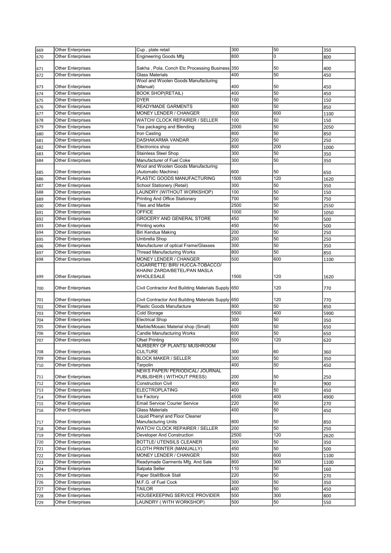| 669 | <b>Other Enterprises</b> | Cup, plate retail                                  | 300  | 50  | 350  |
|-----|--------------------------|----------------------------------------------------|------|-----|------|
| 670 | Other Enterprises        | <b>Engineering Goods Mfg</b>                       | 800  | 0   | 800  |
|     |                          |                                                    |      |     |      |
| 671 | <b>Other Enterprises</b> | Sakha , Pola, Conch Etc Processing Business        | 350  | 50  | 400  |
| 672 | Other Enterprises        | <b>Glass Materials</b>                             | 400  | 50  | 450  |
|     |                          | Wool and Woolen Goods Manufacturing                |      |     |      |
| 673 | <b>Other Enterprises</b> | (Manual)                                           | 400  | 50  | 450  |
| 674 | Other Enterprises        | <b>BOOK SHOP(RETAIL)</b>                           | 400  | 50  | 450  |
| 675 | <b>Other Enterprises</b> | <b>DYER</b>                                        | 100  | 50  | 150  |
| 676 | Other Enterprises        | READYMADE GARMENTS                                 | 800  | 50  | 850  |
| 677 | <b>Other Enterprises</b> | MONEY LENDER / CHANGER                             | 500  | 600 | 1100 |
| 678 | <b>Other Enterprises</b> | WATCH/ CLOCK REPAIRER / SELLER                     | 100  | 50  | 150  |
| 679 | <b>Other Enterprises</b> | Tea packaging and Blending                         | 2000 | 50  | 2050 |
| 680 | <b>Other Enterprises</b> | Iron Casting                                       | 800  | 50  | 850  |
|     | Other Enterprises        | DASHAKARMA VANDAR                                  | 200  | 50  | 250  |
| 681 |                          |                                                    |      | 200 |      |
| 682 | <b>Other Enterprises</b> | Electronics shop                                   | 800  |     | 1000 |
| 683 | Other Enterprises        | <b>Stainless Steel Shop</b>                        | 300  | 50  | 350  |
| 684 | Other Enterprises        | Manufacturer of Fuel Coke                          | 300  | 50  | 350  |
|     |                          | Wool and Woolen Goods Manufacturing                |      |     |      |
| 685 | <b>Other Enterprises</b> | (Automatic Machine)                                | 600  | 50  | 650  |
| 686 | <b>Other Enterprises</b> | PLASTIC GOODS MANUFACTURING                        | 1500 | 120 | 1620 |
| 687 | Other Enterprises        | School Stationery (Retail)                         | 300  | 50  | 350  |
| 688 | Other Enterprises        | LAUNDRY (WITHOUT WORKSHOP)                         | 100  | 50  | 150  |
| 689 | Other Enterprises        | Printing And Office Stationary                     | 700  | 50  | 750  |
| 690 | Other Enterprises        | <b>Tiles and Marble</b>                            | 2500 | 50  | 2550 |
| 691 | <b>Other Enterprises</b> | <b>OFFICE</b>                                      | 1000 | 50  | 1050 |
| 692 | Other Enterprises        | <b>GROCERY AND GENERAL STORE</b>                   | 450  | 50  | 500  |
| 693 | <b>Other Enterprises</b> | Printing works                                     | 450  | 50  | 500  |
| 694 | <b>Other Enterprises</b> | Biri Kendua Making                                 | 200  | 50  | 250  |
|     |                          | Umbrella Shop                                      | 200  | 50  |      |
| 695 | Other Enterprises        |                                                    |      |     | 250  |
| 696 | <b>Other Enterprises</b> | Manufacturer of optical Frame/Glasses              | 300  | 50  | 350  |
| 697 | Other Enterprises        | <b>Thread Manufacturing Works</b>                  | 800  | 50  | 850  |
| 698 | Other Enterprises        | MONEY LENDER / CHANGER                             | 500  | 600 | 1100 |
|     |                          | CIGARRETTE/ BIRI/ HUCCA-TOBACCO/                   |      |     |      |
|     |                          | KHAINI/ ZARDA/BETEL/PAN MASLA                      |      |     |      |
| 699 | Other Enterprises        | WHOLESALE                                          | 1500 | 120 | 1620 |
|     |                          |                                                    |      | 120 |      |
| 700 | Other Enterprises        | Civil Contractor And Building Materials Supply 650 |      |     | 770  |
| 701 | <b>Other Enterprises</b> | Civil Contractor And Building Materials Supply 650 |      | 120 | 770  |
|     | <b>Other Enterprises</b> | <b>Plastic Goods Manufacture</b>                   |      | 50  |      |
| 702 |                          |                                                    | 800  |     | 850  |
| 703 | <b>Other Enterprises</b> | Cold Storage                                       | 5500 | 400 | 5900 |
| 704 | Other Enterprises        | <b>Electrical Shop</b>                             | 300  | 50  | 350  |
| 705 | Other Enterprises        | Marble/Mosaic Material shop (Small)                | 600  | 50  | 650  |
| 706 | <b>Other Enterprises</b> | Candle Manufacturing Works                         | 600  | 50  | 650  |
| 707 | <b>Other Enterprises</b> | <b>Ofset Printing</b>                              | 500  | 120 | 620  |
|     |                          | <b>NURSERY OF PLANTS/ MUSHROOM</b>                 |      |     |      |
| 708 | <b>Other Enterprises</b> | CULTURE                                            | 300  | 60  | 360  |
| 709 | <b>Other Enterprises</b> | <b>BLOCK MAKER / SELLER</b>                        | 300  | 50  | 350  |
| 710 | Other Enterprises        | Tarpolin                                           | 400  | 50  | 450  |
|     |                          | NEWS PAPER/ PERIODICAL/ JOURNAL                    |      |     |      |
| 711 | <b>Other Enterprises</b> | PUBLISHER ( WITHOUT PRESS)                         | 200  | 50  | 250  |
| 712 | <b>Other Enterprises</b> | <b>Construction Civil</b>                          | 900  | 0   | 900  |
| 713 | <b>Other Enterprises</b> | ELECTROPLATING                                     | 400  | 50  | 450  |
| 714 | <b>Other Enterprises</b> | Ice Factory                                        | 4500 | 400 | 4900 |
| 715 | <b>Other Enterprises</b> | <b>Email Service/ Courier Service</b>              | 220  | 50  | 270  |
| 716 | Other Enterprises        | <b>Glass Materials</b>                             | 400  | 50  | 450  |
|     |                          | Liquid Phenyl and Floor Cleaner                    |      |     |      |
| 717 | <b>Other Enterprises</b> | <b>Manufacturing Units</b>                         | 800  | 50  | 850  |
| 718 | Other Enterprises        | WATCH/ CLOCK REPAIRER / SELLER                     | 200  | 50  | 250  |
| 719 | Other Enterprises        | Developer And Construction                         | 2500 | 120 | 2620 |
| 720 | Other Enterprises        | BOTTLE/ UTENSILS CLEANER                           | 300  | 50  | 350  |
|     |                          |                                                    |      | 50  |      |
| 721 | <b>Other Enterprises</b> | CLOTH PRINTER (MANUALLY)                           | 450  |     | 500  |
| 722 | <b>Other Enterprises</b> | MONEY LENDER / CHANGER                             | 500  | 600 | 1100 |
| 723 | <b>Other Enterprises</b> | Readymade Garments Mfg. And Sale                   | 800  | 300 | 1100 |
| 724 | <b>Other Enterprises</b> | Salpata Seller                                     | 110  | 50  | 160  |
| 725 | Other Enterprises        | Paper Stall/Book Stall                             | 220  | 50  | 270  |
| 726 | <b>Other Enterprises</b> | M.F.G. of Fuel Cock                                | 300  | 50  | 350  |
| 727 | Other Enterprises        | TAILOR                                             | 400  | 50  | 450  |
| 728 | Other Enterprises        | HOUSEKEEPING SERVICE PROVIDER                      | 500  | 300 | 800  |
| 729 | <b>Other Enterprises</b> | LAUNDRY (WITH WORKSHOP)                            | 500  | 50  | 550  |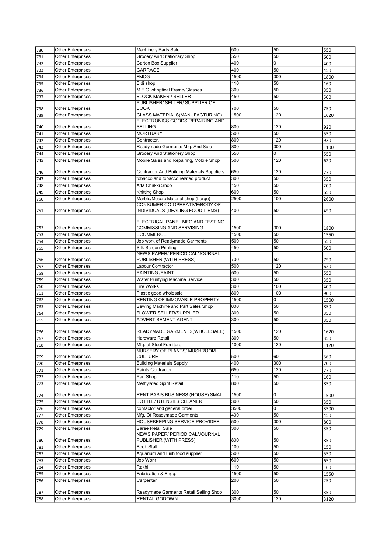| 730        | <b>Other Enterprises</b>               | <b>Machinery Parts Sale</b>                                       | 500         | 50        | 550         |
|------------|----------------------------------------|-------------------------------------------------------------------|-------------|-----------|-------------|
| 731        | <b>Other Enterprises</b>               | Grocery And Stationary Shop                                       | 550         | 50        | 600         |
| 732        | Other Enterprises                      | Carton Box Supplier                                               | 400         | 0         | 400         |
| 733        | <b>Other Enterprises</b>               | GARRAGE                                                           | 400         | 50        | 450         |
| 734        | <b>Other Enterprises</b>               | <b>FMCG</b>                                                       | 1500        | 300       | 1800        |
|            | Other Enterprises                      | Bidi shop                                                         | 110         | 50        |             |
| 735        | <b>Other Enterprises</b>               |                                                                   | 300         | 50        | 160         |
| 736        |                                        | M.F.G. of optical Frame/Glasses                                   |             |           | 350         |
| 737        | Other Enterprises                      | <b>BLOCK MAKER / SELLER</b>                                       | 450         | 50        | 500         |
|            | <b>Other Enterprises</b>               | PUBLISHER/ SELLER/ SUPPLIER OF<br><b>BOOK</b>                     | 700         | 50        |             |
| 738        |                                        |                                                                   | 1500        | 120       | 750         |
| 739        | Other Enterprises                      | GLASS MATERIALS(MANUFACTURING)<br>ELECTRONICS GOODS REPAIRING AND |             |           | 1620        |
| 740        | <b>Other Enterprises</b>               | <b>SELLING</b>                                                    | 800         | 120       | 920         |
|            | Other Enterprises                      | <b>MORTUARY</b>                                                   | 500         | 50        |             |
| 741        |                                        |                                                                   | 800         | 120       | 550         |
| 742        | Other Enterprises                      | Contractor.                                                       |             |           | 920         |
| 743        | <b>Other Enterprises</b>               | Readymade Garments Mfg. And Sale                                  | 800         | 300       | 1100        |
| 744        | Other Enterprises                      | Grocery And Stationery Shop                                       | 550         | 0         | 550         |
| 745        | Other Enterprises                      | Mobile Sales and Repairing, Mobile Shop                           | 500         | 120       | 620         |
|            |                                        |                                                                   |             |           |             |
| 746        | <b>Other Enterprises</b>               | Contractor And Building Materials Suppliers                       | 650         | 120       | 770         |
| 747        | <b>Other Enterprises</b>               | tobacco and tobacco related product                               | 300         | 50        | 350         |
| 748        | Other Enterprises                      | Atta Chakki Shop                                                  | 150         | 50        | 200         |
| 749        | Other Enterprises                      | <b>Knitting Shop</b>                                              | 600         | 50        | 650         |
| 750        | Other Enterprises                      | Marble/Mosaic Material shop (Large)                               | 2500        | 100       | 2600        |
|            |                                        | <b>CONSUMER CO-OPERATIVE/BODY OF</b>                              |             |           |             |
| 751        | <b>Other Enterprises</b>               | INDIVIDUALS (DEALING FOOD ITEMS)                                  | 400         | 50        | 450         |
|            |                                        |                                                                   |             |           |             |
|            |                                        | ELECTRICAL PANEL MFG.AND TESTING<br>COMMISSING AND SERVISING      | 1500        | 300       |             |
| 752        | Other Enterprises                      |                                                                   |             |           | 1800        |
| 753        | Other Enterprises                      | <b>ECOMMERCE</b>                                                  | 1500        | 50        | 1550        |
| 754        | Other Enterprises                      | Job work of Readymade Garments                                    | 500         | 50        | 550         |
| 755        | <b>Other Enterprises</b>               | <b>Silk Screen Printing</b>                                       | 450         | 50        | 500         |
|            |                                        | NEWS PAPER/ PERIODICAL/JOURNAL                                    |             |           |             |
| 756        | <b>Other Enterprises</b>               | PUBLISHER (WITH PRESS)                                            | 700         | 50        | 750         |
| 757        | Other Enterprises                      | Labour Contractor                                                 | 500         | 120       | 620         |
| 758        | <b>Other Enterprises</b>               | PAINTING /PAINT                                                   | 500         | 50        | 550         |
| 759        | <b>Other Enterprises</b>               | Water Purifying Machine Service                                   | 300         | 50        | 350         |
| 760        | Other Enterprises                      | Fire Works                                                        | 300         | 100       | 400         |
| 761        | <b>Other Enterprises</b>               | Plastic good wholesale                                            | 800         | 100       | 900         |
| 762        | <b>Other Enterprises</b>               | RENTING OF IMMOVABLE PROPERTY                                     | 1500        | 0         | 1500        |
| 763        | <b>Other Enterprises</b>               | Sewing Machine and Part Sales Shop                                | 800         | 50        | 850         |
| 764        | Other Enterprises                      | FLOWER SELLER/SUPPLIER                                            |             |           |             |
| 765        |                                        |                                                                   | 300         | 50        | 350         |
|            | Other Enterprises                      | ADVERTISEMENT AGENT                                               | 300         | 50        | 350         |
|            |                                        |                                                                   |             |           |             |
| 766        | Other Enterprises                      | READYMADE GARMENTS(WHOLESALE)                                     | 1500        | 120       | 1620        |
| 767        | <b>Other Enterprises</b>               | <b>Hardware Retail</b>                                            | 300         | 50        | 350         |
| 768        | Other Enterprises                      | Mfg. of Steel Furniture                                           | 1000        | 120       | 1120        |
|            |                                        | <b>NURSERY OF PLANTS/ MUSHROOM</b>                                |             |           |             |
| 769        | Other Enterprises                      | <b>CULTURE</b>                                                    | 500         | 60        | 560         |
| 770        | Other Enterprises                      | <b>Building Materials Supply</b>                                  | 400         | 300       | 700         |
| 771        | Other Enterprises                      | Paints Contractor                                                 | 650         | 120       | 770         |
| 772        | Other Enterprises                      | Pan Shop                                                          | 110         | 50        |             |
|            | <b>Other Enterprises</b>               | Methylated Spirit Retail                                          | 800         | 50        | 160         |
| 773        |                                        |                                                                   |             |           | 850         |
| 774        | <b>Other Enterprises</b>               | RENT BASIS BUSINESS (HOUSE) SMALL                                 | 1500        | 0         | 1500        |
| 775        | <b>Other Enterprises</b>               | <b>BOTTLE/ UTENSILS CLEANER</b>                                   | 300         | 50        | 350         |
|            | <b>Other Enterprises</b>               | contactor and general order                                       | 3500        | 0         |             |
| 776        |                                        |                                                                   |             |           | 3500        |
| 777        | <b>Other Enterprises</b>               | Mfg. Of Readymade Garments                                        | 400         | 50        | 450         |
| 778        | Other Enterprises                      | HOUSEKEEPING SERVICE PROVIDER                                     | 500         | 300       | 800         |
| 779        | Other Enterprises                      | Saree Retail Sale                                                 | 300         | 50        | 350         |
|            |                                        | <b>NEWS PAPER/ PERIODICAL/JOURNAL</b>                             |             |           |             |
| 780        | Other Enterprises                      | PUBLISHER (WITH PRESS)                                            | 800         | 50        | 850         |
| 781        | Other Enterprises                      | <b>Book Stall</b>                                                 | 100         | 50        | 150         |
| 782        | Other Enterprises                      | Aquarium and Fish food supplier                                   | 500         | 50        | 550         |
| 783        | <b>Other Enterprises</b>               | Job Work                                                          | 600         | 50        | 650         |
| 784        | Other Enterprises                      | Rakhi                                                             | 110         | 50        | 160         |
| 785        | Other Enterprises                      | Fabrication & Engg.                                               | 1500        | 50        | 1550        |
| 786        | Other Enterprises                      | Carpenter                                                         | 200         | 50        | 250         |
|            |                                        |                                                                   |             |           |             |
| 787<br>788 | Other Enterprises<br>Other Enterprises | Readymade Garments Retail Selling Shop<br>RENTAL GODOWN           | 300<br>3000 | 50<br>120 | 350<br>3120 |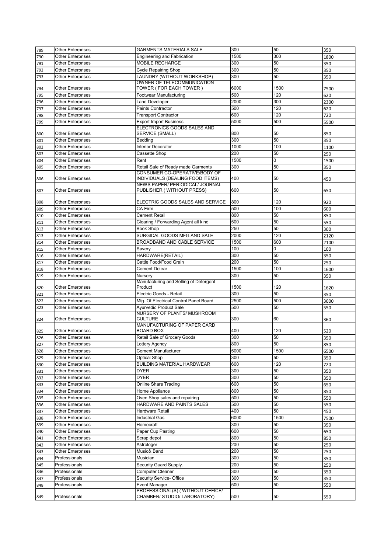| 789 | <b>Other Enterprises</b> | <b>GARMENTS MATERIALS SALE</b>                                      | 300  | 50   | 350  |
|-----|--------------------------|---------------------------------------------------------------------|------|------|------|
| 790 | <b>Other Enterprises</b> | <b>Engineering and Fabrication</b>                                  | 1500 | 300  | 1800 |
| 791 | Other Enterprises        | MOBILE RECHARGE                                                     | 300  | 50   | 350  |
| 792 | Other Enterprises        | <b>Cycle Repairing Shop</b>                                         | 300  | 50   | 350  |
| 793 | Other Enterprises        | LAUNDRY (WITHOUT WORKSHOP)                                          | 300  | 50   | 350  |
|     |                          | OWNER OF TELECOMMUNICATION                                          |      |      |      |
| 794 | <b>Other Enterprises</b> | TOWER ( FOR EACH TOWER )                                            | 6000 | 1500 | 7500 |
| 795 | Other Enterprises        | Footwear Manufacturing                                              | 500  | 120  | 620  |
| 796 | <b>Other Enterprises</b> | <b>Land Developer</b>                                               | 2000 | 300  | 2300 |
| 797 | Other Enterprises        | <b>Paints Contractor</b>                                            | 500  | 120  | 620  |
| 798 | Other Enterprises        | <b>Transport Contractor</b>                                         | 600  | 120  | 720  |
| 799 | Other Enterprises        | <b>Export Import Business</b>                                       | 5000 | 500  | 5500 |
|     |                          | <b>ELECTRONICS GOODS SALES AND</b>                                  |      |      |      |
| 800 | <b>Other Enterprises</b> | SERVICE (SMALL)                                                     | 800  | 50   | 850  |
| 801 | Other Enterprises        | Bedding                                                             | 300  | 50   | 350  |
| 802 | <b>Other Enterprises</b> | <b>Interior Decorator</b>                                           | 1000 | 100  | 1100 |
| 803 | Other Enterprises        | Cassette Shop                                                       | 200  | 50   | 250  |
| 804 | Other Enterprises        | Rent                                                                | 1500 | 0    | 1500 |
| 805 | Other Enterprises        | Retail Sale of Ready made Garments                                  | 300  | 50   | 350  |
|     |                          | CONSUMER CO-OPERATIVE/BODY OF                                       |      |      |      |
| 806 | <b>Other Enterprises</b> | INDIVIDUALS (DEALING FOOD ITEMS)<br>NEWS PAPER/ PERIODICAL/ JOURNAL | 400  | 50   | 450  |
| 807 | <b>Other Enterprises</b> | PUBLISHER (WITHOUT PRESS)                                           | 600  | 50   | 650  |
|     |                          |                                                                     |      |      |      |
| 808 | <b>Other Enterprises</b> | ELECTRIC GOODS SALES AND SERVICE                                    | 800  | 120  | 920  |
| 809 | <b>Other Enterprises</b> | CA Firm                                                             | 500  | 100  | 600  |
| 810 | <b>Other Enterprises</b> | Cement Retail                                                       | 800  | 50   | 850  |
| 811 | <b>Other Enterprises</b> | Clearing / Forwarding Agent all kind                                | 500  | 50   | 550  |
| 812 | Other Enterprises        | <b>Book Shop</b>                                                    | 250  | 50   | 300  |
| 813 | Other Enterprises        | SURGICAL GOODS MFG.AND SALE                                         | 2000 | 120  | 2120 |
| 814 | Other Enterprises        | BROADBAND AND CABLE SERVICE                                         | 1500 | 600  | 2100 |
| 815 | Other Enterprises        | Savery                                                              | 100  | 0    | 100  |
| 816 | <b>Other Enterprises</b> | HARDWARE(RETAIL)                                                    | 300  | 50   | 350  |
| 817 | Other Enterprises        | Cattle Food/Food Grain                                              | 200  | 50   | 250  |
| 818 | <b>Other Enterprises</b> | Cement Delear                                                       | 1500 | 100  | 1600 |
| 819 | Other Enterprises        | Nursery                                                             | 300  | 50   | 350  |
|     |                          | Manufacturing and Selling of Detergent                              |      |      |      |
| 820 | Other Enterprises        | Product                                                             | 1500 | 120  | 1620 |
| 821 | Other Enterprises        | Electric Goods - Retail                                             | 300  | 50   | 350  |
| 822 | <b>Other Enterprises</b> | Mfg. Of Electrical Control Panel Board                              | 2500 | 500  | 3000 |
| 823 | Other Enterprises        | <b>Ayurvedic Product Sale</b>                                       | 500  | 50   | 550  |
|     |                          | <b>NURSERY OF PLANTS/ MUSHROOM</b>                                  |      |      |      |
| 824 | <b>Other Enterprises</b> | CULTURE                                                             | 300  | 60   | 360  |
|     |                          | MANUFACTURING OF PAPER CARD                                         |      |      |      |
| 825 | Other Enterprises        | <b>BOARD BOX</b>                                                    | 400  | 120  | 520  |
| 826 | Other Enterprises        | Retail Sale of Grocery Goods                                        | 300  | 50   | 350  |
| 827 | <b>Other Enterprises</b> | Lottery Agency                                                      | 800  | 50   | 850  |
| 828 | Other Enterprises        | Cement Manufacturer                                                 | 5000 | 1500 | 6500 |
| 829 | Other Enterprises        | Optical Shop                                                        | 300  | 50   | 350  |
| 830 | <b>Other Enterprises</b> | <b>BUILDING MATERIAL HARDWEAR</b>                                   | 600  | 120  | 720  |
| 831 | <b>Other Enterprises</b> | <b>DYER</b>                                                         | 300  | 50   | 350  |
| 832 | <b>Other Enterprises</b> | <b>DYER</b>                                                         | 300  | 50   | 350  |
| 833 | <b>Other Enterprises</b> | Online Share Trading                                                | 600  | 50   | 650  |
| 834 | <b>Other Enterprises</b> | Home Appliance                                                      | 800  | 50   | 850  |
| 835 | <b>Other Enterprises</b> | Oven Shop sales and repairing                                       | 500  | 50   | 550  |
| 836 | Other Enterprises        | HARDWARE AND PAINTS SALES                                           | 500  | 50   | 550  |
| 837 | <b>Other Enterprises</b> | Hardware Retail                                                     | 400  | 50   | 450  |
| 838 | <b>Other Enterprises</b> | <b>Industrial Gas</b>                                               | 6000 | 1500 | 7500 |
| 839 | <b>Other Enterprises</b> | Homecraft                                                           | 300  | 50   | 350  |
| 840 | <b>Other Enterprises</b> | Paper Cup Pasting                                                   | 600  | 50   | 650  |
| 841 | Other Enterprises        | Scrap depot                                                         | 800  | 50   | 850  |
| 842 | Other Enterprises        | Astrologer                                                          | 200  | 50   | 250  |
| 843 | Other Enterprises        | Music& Band                                                         | 200  | 50   | 250  |
| 844 | Professionals            | Musician                                                            | 300  | 50   | 350  |
| 845 | Professionals            | Security Guard Supply.                                              | 200  | 50   | 250  |
| 846 | Professionals            | Computer Cleaner                                                    | 300  | 50   | 350  |
| 847 | Professionals            | Security Service- Office                                            | 300  | 50   | 350  |
| 848 | Professionals            | <b>Event Manager</b>                                                | 500  | 50   | 550  |
|     |                          | PROFESSIONAL(S) (WITHOUT OFFICE/                                    |      |      |      |
| 849 | Professionals            | CHAMBER/ STUDIO/ LABORATORY)                                        | 500  | 50   | 550  |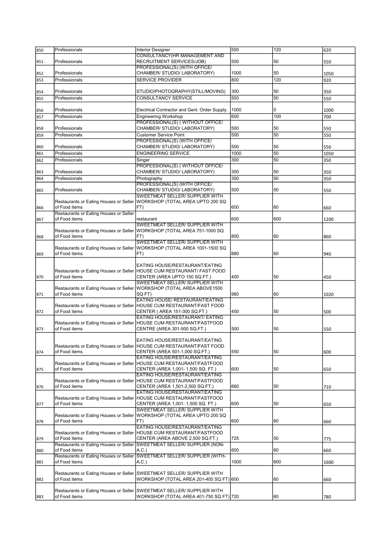| 850 | Professionals                          | <b>Interior Designer</b>                                                | 500  | 120 | 620  |
|-----|----------------------------------------|-------------------------------------------------------------------------|------|-----|------|
|     |                                        | <b>CONSULTANCY (HR MANAGEMENT AND</b>                                   |      |     |      |
| 851 | Professionals                          | RECRUITMENT SERVICES/JOB)                                               | 500  | 50  | 550  |
|     |                                        |                                                                         |      |     |      |
|     |                                        | PROFESSIONAL(S) (WITH OFFICE/                                           |      |     |      |
| 852 | Professionals                          | CHAMBER/ STUDIO/ LABORATORY)                                            | 1000 | 50  | 1050 |
| 853 | Professionals                          | <b>SERVICE PROVIDER</b>                                                 | 800  | 120 | 920  |
|     |                                        |                                                                         |      |     |      |
| 854 | Professionals                          | STUDIO/PHOTOGRAPHY(STILL/MOVING)                                        | 300  | 50  | 350  |
| 855 | Professionals                          | CONSULTANCY SERVICE                                                     | 500  | 50  | 550  |
|     |                                        |                                                                         |      |     |      |
|     |                                        |                                                                         |      |     |      |
| 856 | Professionals                          | Electrical Contractor and Genl. Order Supply.                           | 1000 | 0   | 1000 |
| 857 | Professionals                          | <b>Engineering Workshop</b>                                             | 600  | 100 | 700  |
|     |                                        | PROFESSIONAL(S) (WITHOUT OFFICE/                                        |      |     |      |
| 858 | Professionals                          | CHAMBER/ STUDIO/ LABORATORY)                                            | 500  | 50  | 550  |
|     | Professionals                          | <b>Customer Service Point</b>                                           | 500  | 50  |      |
| 859 |                                        |                                                                         |      |     | 550  |
|     |                                        | PROFESSIONAL(S) (WITH OFFICE/                                           |      |     |      |
| 860 | Professionals                          | CHAMBER/ STUDIO/ LABORATORY)                                            | 500  | 50  | 550  |
| 861 | Professionals                          | <b>ENGINEERING SERVICE</b>                                              | 1000 | 50  | 1050 |
| 862 | Professionals                          | Singer                                                                  | 300  | 50  | 350  |
|     |                                        | PROFESSIONAL(S) (WITHOUT OFFICE/                                        |      |     |      |
|     | Professionals                          | CHAMBER/ STUDIO/ LABORATORY)                                            | 300  | 50  |      |
| 863 |                                        |                                                                         |      |     | 350  |
| 864 | Professionals                          | Photography                                                             | 300  | 50  | 350  |
|     |                                        | PROFESSIONAL(S) (WITH OFFICE/                                           |      |     |      |
| 865 | Professionals                          | CHAMBER/ STUDIO/ LABORATORY)                                            | 500  | 50  | 550  |
|     |                                        | <b>SWEETMEAT SELLER/ SUPPLIER WITH</b>                                  |      |     |      |
|     | Restaurants or Eating Houses or Seller | WORKSHOP (TOTAL AREA UPTO 200 SQ                                        |      |     |      |
| 866 | of Food items                          | FT)                                                                     | 600  | 60  | 660  |
|     | Restaurants or Eating Houses or Seller |                                                                         |      |     |      |
|     | of Food items                          |                                                                         | 600  | 600 |      |
| 867 |                                        | restaurant                                                              |      |     | 1200 |
|     |                                        | SWEETMEAT SELLER/ SUPPLIER WITH                                         |      |     |      |
|     |                                        | Restaurants or Eating Houses or Seller WORKSHOP (TOTAL AREA 751-1000 SQ |      |     |      |
| 868 | of Food items                          | FT)                                                                     | 800  | 60  | 860  |
|     |                                        | SWEETMEAT SELLER/ SUPPLIER WITH                                         |      |     |      |
|     | Restaurants or Eating Houses or Seller | WORKSHOP (TOTAL AREA 1001-1500 SQ                                       |      |     |      |
| 869 | of Food items                          | FT)                                                                     | 880  | 60  | 940  |
|     |                                        |                                                                         |      |     |      |
|     |                                        | EATING HOUSE/RESTAURANT/EATING                                          |      |     |      |
|     |                                        | Restaurants or Eating Houses or Seller HOUSE CUM RESTAURANT/ FAST FOOD  |      |     |      |
|     | of Food items                          | CENTER (AREA UPTO 150 SQ.FT.)                                           | 400  | 50  |      |
| 870 |                                        |                                                                         |      |     | 450  |
|     |                                        | SWEETMEAT SELLER/ SUPPLIER WITH                                         |      |     |      |
|     | Restaurants or Eating Houses or Seller | WORKSHOP (TOTAL AREA ABOVE1500                                          |      |     |      |
| 871 | of Food items                          | SQ FT)                                                                  | 960  | 60  | 1020 |
|     |                                        | EATING HOUSE/ RESTAURANT/EATING                                         |      |     |      |
|     | Restaurants or Eating Houses or Seller | HOUSE CUM RESTAURANT/FAST FOOD                                          |      |     |      |
| 872 | of Food items                          | CENTER ( AREA 151-300 SQ.FT.)                                           | 450  | 50  | 500  |
|     |                                        | EATING HOUSE/RESTAURANT/ EATING                                         |      |     |      |
|     | Restaurants or Eating Houses or Seller | IHOUSE CUM RESTAURANT/FASTFOOD                                          |      |     |      |
| 873 | of Food items                          | CENTRE (AREA 301-500 SQ.FT.)                                            | 500  | 50  | 550  |
|     |                                        |                                                                         |      |     |      |
|     |                                        | EATING HOUSE/RESTAURANT/EATING                                          |      |     |      |
|     |                                        |                                                                         |      |     |      |
|     |                                        | Restaurants or Eating Houses or Seller HOUSE CUM RESTAURANT/FAST FOOD   |      |     |      |
| 874 | of Food items                          | CENTER (AREA 501-1,000 SQ.FT.)                                          | 550  | 50  | 600  |
|     |                                        | EATING HOUSE/RESTAURANT/EATING                                          |      |     |      |
|     | Restaurants or Eating Houses or Seller | HOUSE CUM RESTAURANT/FASTFOOD                                           |      |     |      |
| 875 | of Food items                          | CENTER (AREA 1,001- 1,500 SQ. FT.)                                      | 600  | 50  | 650  |
|     |                                        | EATING HOUSE/RESTAURANT/EATING                                          |      |     |      |
|     | Restaurants or Eating Houses or Seller | HOUSE CUM RESTAURANT/FASTFOOD                                           |      |     |      |
| 876 | of Food items                          | CENTER (AREA 1,501-2,500 SQ.FT.)                                        | 660  | 50  | 710  |
|     |                                        | EATING HOUSE/RESTAURANT/EATING                                          |      |     |      |
|     | Restaurants or Eating Houses or Seller | HOUSE CUM RESTAURANT/FASTFOOD                                           |      |     |      |
|     | of Food items                          | CENTER (AREA 1,001- 1,500 SQ. FT.)                                      | 600  | 50  |      |
| 877 |                                        |                                                                         |      |     | 650  |
|     |                                        | SWEETMEAT SELLER/ SUPPLIER WITH                                         |      |     |      |
|     | Restaurants or Eating Houses or Seller | WORKSHOP (TOTAL AREA UPTO 200 SQ                                        |      |     |      |
| 878 | of Food items                          | FT)                                                                     | 600  | 60  | 660  |
|     |                                        | EATING HOUSE/RESTAURANT/EATING                                          |      |     |      |
|     |                                        | Restaurants or Eating Houses or Seller HOUSE CUM RESTAURANT/FASTFOOD    |      |     |      |
| 879 | of Food items                          | CENTER (AREA ABOVE 2,500 SQ.FT.)                                        | 725  | 50  | 775  |
|     | Restaurants or Eating Houses or Seller | SWEETMEAT SELLER/ SUPPLIER (NON-                                        |      |     |      |
| 880 | of Food items                          | A.C.)                                                                   | 600  | 60  | 660  |
|     | Restaurants or Eating Houses or Seller | <b>SWEETMEAT SELLER/ SUPPLIER (WITH-</b>                                |      |     |      |
| 881 | of Food items                          | A.C.                                                                    | 1000 | 600 | 1600 |
|     |                                        |                                                                         |      |     |      |
|     |                                        |                                                                         |      |     |      |
|     | Restaurants or Eating Houses or Seller | SWEETMEAT SELLER/ SUPPLIER WITH                                         |      |     |      |
| 882 | of Food items                          | WORKSHOP (TOTAL AREA 201-400 SQ FT) 600                                 |      | 60  | 660  |
|     |                                        |                                                                         |      |     |      |
|     |                                        | Restaurants or Eating Houses or Seller SWEETMEAT SELLER/ SUPPLIER WITH  |      |     |      |
| 883 | of Food items                          | WORKSHOP (TOTAL AREA 401-750 SQ FT) 720                                 |      | 60  | 780  |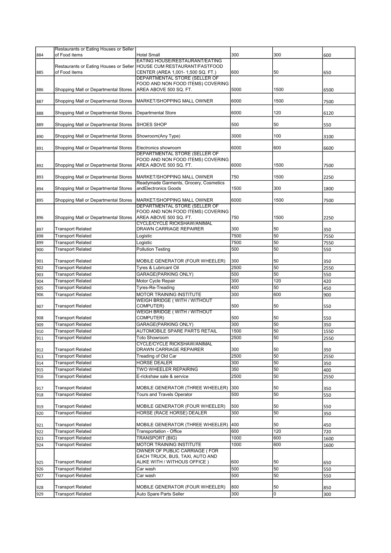|            | Restaurants or Eating Houses or Seller        |                                                                    |            |          |            |
|------------|-----------------------------------------------|--------------------------------------------------------------------|------------|----------|------------|
| 884        | of Food items                                 | <b>Hotel Small</b><br>EATING HOUSE/RESTAURANT/EATING               | 300        | 300      | 600        |
|            |                                               |                                                                    |            |          |            |
| 885        | of Food items                                 | CENTER (AREA 1,001- 1,500 SQ. FT.)                                 | 600        | 50       | 650        |
|            |                                               | DEPARTMENTAL STORE (SELLER OF<br>FOOD AND NON FOOD ITEMS) COVERING |            |          |            |
| 886        | Shopping Mall or Departmental Stores          | AREA ABOVE 500 SQ. FT.                                             | 5000       | 1500     | 6500       |
|            |                                               |                                                                    |            |          |            |
| 887        | Shopping Mall or Departmental Stores          | MARKET/SHOPPING MALL OWNER                                         | 6000       | 1500     | 7500       |
| 888        | Shopping Mall or Departmental Stores          | Departmental Store                                                 | 6000       | 120      | 6120       |
|            | Shopping Mall or Departmental Stores          | SHOES SHOP                                                         | 500        | 50       |            |
| 889        |                                               |                                                                    |            |          | 550        |
| 890        | Shopping Mall or Departmental Stores          | Showroom(Any Type)                                                 | 3000       | 100      | 3100       |
| 891        | Shopping Mall or Departmental Stores          | Electronics showroom                                               | 6000       | 600      | 6600       |
|            |                                               | DEPARTMENTAL STORE (SELLER OF                                      |            |          |            |
|            |                                               | FOOD AND NON FOOD ITEMS) COVERING                                  |            |          |            |
| 892        | Shopping Mall or Departmental Stores          | AREA ABOVE 500 SQ. FT.                                             | 6000       | 1500     | 7500       |
| 893        | Shopping Mall or Departmental Stores          | MARKET/SHOPPING MALL OWNER                                         | 750        | 1500     | 2250       |
|            |                                               | Readymade Garments, Grocery, Cosmetics                             |            |          |            |
| 894        | Shopping Mall or Departmental Stores          | andElectronics Goods                                               | 1500       | 300      | 1800       |
| 895        | Shopping Mall or Departmental Stores          | MARKET/SHOPPING MALL OWNER                                         | 6000       | 1500     | 7500       |
|            |                                               | DEPARTMENTAL STORE (SELLER OF                                      |            |          |            |
| 896        | Shopping Mall or Departmental Stores          | FOOD AND NON FOOD ITEMS) COVERING<br>AREA ABOVE 500 SQ. FT.        | 750        | 1500     | 2250       |
|            |                                               | <b>CYCLE/CYCLE RICKSHAW/ANIMAL</b>                                 |            |          |            |
| 897        | <b>Transport Related</b>                      | DRAWN CARRIAGE REPAIRER                                            | 300        | 50       | 350        |
| 898        | <b>Transport Related</b>                      | Logistic                                                           | 7500       | 50       | 7550       |
| 899        | <b>Transport Related</b>                      | Logistic                                                           | 7500       | 50       | 7550       |
| 900        | <b>Transport Related</b>                      | <b>Pollution Testing</b>                                           | 500        | 50       | 550        |
| 901        | <b>Transport Related</b>                      | MOBILE GENERATOR (FOUR WHEELER)                                    | 300        | 50       | 350        |
| 902        | <b>Transport Related</b>                      | Tyres & Lubricant Oil                                              | 2500       | 50       | 2550       |
| 903        | Transport Related                             | GARAGE(PARKING ONLY)                                               | 500        | 50       | 550        |
| 904        | <b>Transport Related</b>                      | Motor Cycle Repair                                                 | 300        | 120      | 420        |
| 905        | <b>Transport Related</b>                      | Tyres-Re-Treading                                                  | 400        | 50       | 450        |
| 906        | Transport Related                             | MOTOR TRAINING INSTITUTE                                           | 300        | 600      | 900        |
| 907        | Transport Related                             | <b>WEIGH BRIDGE (WITH / WITHOUT</b><br>COMPUTER)                   | 500        | 50       | 550        |
|            |                                               | <b>WEIGH BRIDGE (WITH / WITHOUT</b>                                |            |          |            |
| 908        | <b>Transport Related</b>                      | COMPUTER)                                                          | 500        | 50       | 550        |
| 909        | <b>Transport Related</b>                      | <b>GARAGE(PARKING ONLY)</b>                                        | 300        | 50       | 350        |
| 910        | <b>Transport Related</b>                      | AUTOMOBILE SPARE PARTS RETAIL                                      | 1500       | 50       | 1550       |
| 911        | <b>Transport Related</b>                      | <b>Toto Showroom</b><br>CYCLE/CYCLE RICKSHAW/ANIMAL                | 2500       | 50       | 2550       |
| 912        | <b>Transport Related</b>                      | DRAWN CARRIAGE REPAIRER                                            | 300        | 50       | 350        |
| 913        | <b>Transport Related</b>                      | Treading of Old Car                                                | 2500       | 50       | 2550       |
| 914        | <b>Transport Related</b>                      | <b>HORSE DEALER</b>                                                | 300        | 50       | 350        |
| 915        | <b>Transport Related</b>                      | TWO WHEELER REPAIRING                                              | 350        | 50       | 400        |
| 916        | <b>Transport Related</b>                      | E-rickshaw sale & service                                          | 2500       | 50       | 2550       |
| 917        | Transport Related                             | MOBILE GENERATOR (THREE WHEELER)                                   | 300        | 50       |            |
| 918        | <b>Transport Related</b>                      | <b>Tours and Travels Operator</b>                                  | 500        | 50       | 350<br>550 |
|            |                                               |                                                                    |            |          |            |
| 919        | Transport Related                             | MOBILE GENERATOR (FOUR WHEELER)                                    | 500        | 50       | 550        |
| 920        | <b>Transport Related</b>                      | HORSE (RACE HORSE) DEALER                                          | 300        | 50       | 350        |
| 921        | Transport Related                             | MOBILE GENERATOR (THREE WHEELER)                                   | 400        | 50       | 450        |
| 922        | <b>Transport Related</b>                      | Transportation - Office                                            | 600        | 120      | 720        |
| 923        | <b>Transport Related</b>                      | TRANSPORT (BIG)                                                    | 1000       | 600      | 1600       |
| 924        | <b>Transport Related</b>                      | MOTOR TRAINING INSTITUTE                                           | 1000       | 600      | 1600       |
|            |                                               | OWNER OF PUBLIC CARRIAGE ( FOR                                     |            |          |            |
|            |                                               | EACH TRUCK, BUS, TAXI, AUTO AND                                    |            |          |            |
| 925        | <b>Transport Related</b>                      | ALIKE WITH / WITHOUS OFFICE )                                      | 600<br>500 | 50<br>50 | 650        |
| 926<br>927 | <b>Transport Related</b><br>Transport Related | Car wash<br>Car wash                                               | 500        | 50       | 550        |
|            |                                               |                                                                    |            |          | 550        |
| 928        | Transport Related                             | MOBILE GENERATOR (FOUR WHEELER)                                    | 800        | 50       | 850        |
| 929        | <b>Transport Related</b>                      | Auto Spare Parts Seller                                            | 300        | 0        | 300        |